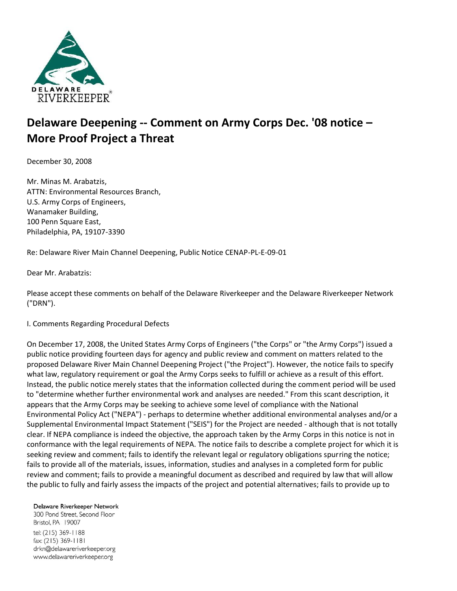

# **Delaware Deepening -- Comment on Army Corps Dec. '08 notice – More Proof Project a Threat**

December 30, 2008

Mr. Minas M. Arabatzis, ATTN: Environmental Resources Branch, U.S. Army Corps of Engineers, Wanamaker Building, 100 Penn Square East, Philadelphia, PA, 19107-3390

Re: Delaware River Main Channel Deepening, Public Notice CENAP-PL-E-09-01

Dear Mr. Arabatzis:

Please accept these comments on behalf of the Delaware Riverkeeper and the Delaware Riverkeeper Network ("DRN").

I. Comments Regarding Procedural Defects

On December 17, 2008, the United States Army Corps of Engineers ("the Corps" or "the Army Corps") issued a public notice providing fourteen days for agency and public review and comment on matters related to the proposed Delaware River Main Channel Deepening Project ("the Project"). However, the notice fails to specify what law, regulatory requirement or goal the Army Corps seeks to fulfill or achieve as a result of this effort. Instead, the public notice merely states that the information collected during the comment period will be used to "determine whether further environmental work and analyses are needed." From this scant description, it appears that the Army Corps may be seeking to achieve some level of compliance with the National Environmental Policy Act ("NEPA") - perhaps to determine whether additional environmental analyses and/or a Supplemental Environmental Impact Statement ("SEIS") for the Project are needed - although that is not totally clear. If NEPA compliance is indeed the objective, the approach taken by the Army Corps in this notice is not in conformance with the legal requirements of NEPA. The notice fails to describe a complete project for which it is seeking review and comment; fails to identify the relevant legal or regulatory obligations spurring the notice; fails to provide all of the materials, issues, information, studies and analyses in a completed form for public review and comment; fails to provide a meaningful document as described and required by law that will allow the public to fully and fairly assess the impacts of the project and potential alternatives; fails to provide up to

#### Delaware Riverkeeper Network

300 Pond Street, Second Floor Bristol, PA 19007 tel: (215) 369-1188 fax: (215) 369-1181 drkn@delawareriverkeeper.org www.delawareriverkeeper.org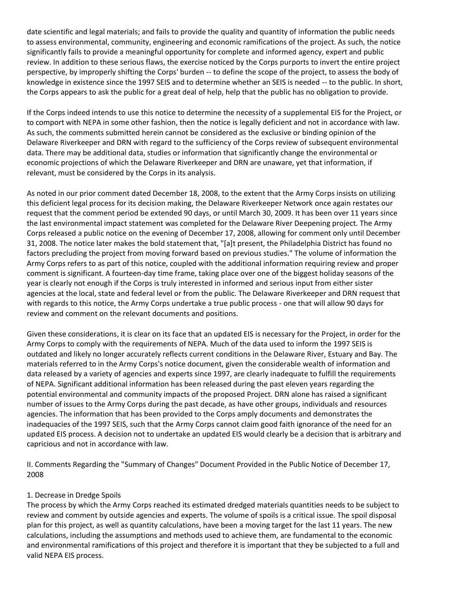date scientific and legal materials; and fails to provide the quality and quantity of information the public needs to assess environmental, community, engineering and economic ramifications of the project. As such, the notice significantly fails to provide a meaningful opportunity for complete and informed agency, expert and public review. In addition to these serious flaws, the exercise noticed by the Corps purports to invert the entire project perspective, by improperly shifting the Corps' burden -- to define the scope of the project, to assess the body of knowledge in existence since the 1997 SEIS and to determine whether an SEIS is needed -- to the public. In short, the Corps appears to ask the public for a great deal of help, help that the public has no obligation to provide.

If the Corps indeed intends to use this notice to determine the necessity of a supplemental EIS for the Project, or to comport with NEPA in some other fashion, then the notice is legally deficient and not in accordance with law. As such, the comments submitted herein cannot be considered as the exclusive or binding opinion of the Delaware Riverkeeper and DRN with regard to the sufficiency of the Corps review of subsequent environmental data. There may be additional data, studies or information that significantly change the environmental or economic projections of which the Delaware Riverkeeper and DRN are unaware, yet that information, if relevant, must be considered by the Corps in its analysis.

As noted in our prior comment dated December 18, 2008, to the extent that the Army Corps insists on utilizing this deficient legal process for its decision making, the Delaware Riverkeeper Network once again restates our request that the comment period be extended 90 days, or until March 30, 2009. It has been over 11 years since the last environmental impact statement was completed for the Delaware River Deepening project. The Army Corps released a public notice on the evening of December 17, 2008, allowing for comment only until December 31, 2008. The notice later makes the bold statement that, "[a]t present, the Philadelphia District has found no factors precluding the project from moving forward based on previous studies." The volume of information the Army Corps refers to as part of this notice, coupled with the additional information requiring review and proper comment is significant. A fourteen-day time frame, taking place over one of the biggest holiday seasons of the year is clearly not enough if the Corps is truly interested in informed and serious input from either sister agencies at the local, state and federal level or from the public. The Delaware Riverkeeper and DRN request that with regards to this notice, the Army Corps undertake a true public process - one that will allow 90 days for review and comment on the relevant documents and positions.

Given these considerations, it is clear on its face that an updated EIS is necessary for the Project, in order for the Army Corps to comply with the requirements of NEPA. Much of the data used to inform the 1997 SEIS is outdated and likely no longer accurately reflects current conditions in the Delaware River, Estuary and Bay. The materials referred to in the Army Corps's notice document, given the considerable wealth of information and data released by a variety of agencies and experts since 1997, are clearly inadequate to fulfill the requirements of NEPA. Significant additional information has been released during the past eleven years regarding the potential environmental and community impacts of the proposed Project. DRN alone has raised a significant number of issues to the Army Corps during the past decade, as have other groups, individuals and resources agencies. The information that has been provided to the Corps amply documents and demonstrates the inadequacies of the 1997 SEIS, such that the Army Corps cannot claim good faith ignorance of the need for an updated EIS process. A decision not to undertake an updated EIS would clearly be a decision that is arbitrary and capricious and not in accordance with law.

II. Comments Regarding the "Summary of Changes" Document Provided in the Public Notice of December 17, 2008

#### 1. Decrease in Dredge Spoils

The process by which the Army Corps reached its estimated dredged materials quantities needs to be subject to review and comment by outside agencies and experts. The volume of spoils is a critical issue. The spoil disposal plan for this project, as well as quantity calculations, have been a moving target for the last 11 years. The new calculations, including the assumptions and methods used to achieve them, are fundamental to the economic and environmental ramifications of this project and therefore it is important that they be subjected to a full and valid NEPA EIS process.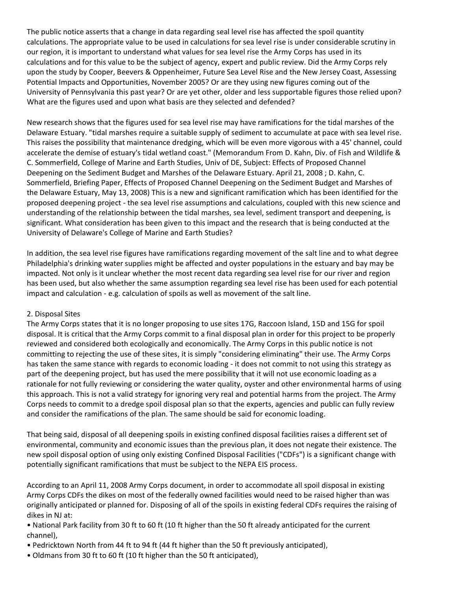The public notice asserts that a change in data regarding seal level rise has affected the spoil quantity calculations. The appropriate value to be used in calculations for sea level rise is under considerable scrutiny in our region, it is important to understand what values for sea level rise the Army Corps has used in its calculations and for this value to be the subject of agency, expert and public review. Did the Army Corps rely upon the study by Cooper, Beevers & Oppenheimer, Future Sea Level Rise and the New Jersey Coast, Assessing Potential Impacts and Opportunities, November 2005? Or are they using new figures coming out of the University of Pennsylvania this past year? Or are yet other, older and less supportable figures those relied upon? What are the figures used and upon what basis are they selected and defended?

New research shows that the figures used for sea level rise may have ramifications for the tidal marshes of the Delaware Estuary. "tidal marshes require a suitable supply of sediment to accumulate at pace with sea level rise. This raises the possibility that maintenance dredging, which will be even more vigorous with a 45' channel, could accelerate the demise of estuary's tidal wetland coast." (Memorandum From D. Kahn, Div. of Fish and Wildlife & C. Sommerfield, College of Marine and Earth Studies, Univ of DE, Subject: Effects of Proposed Channel Deepening on the Sediment Budget and Marshes of the Delaware Estuary. April 21, 2008 ; D. Kahn, C. Sommerfield, Briefing Paper, Effects of Proposed Channel Deepening on the Sediment Budget and Marshes of the Delaware Estuary, May 13, 2008) This is a new and significant ramification which has been identified for the proposed deepening project - the sea level rise assumptions and calculations, coupled with this new science and understanding of the relationship between the tidal marshes, sea level, sediment transport and deepening, is significant. What consideration has been given to this impact and the research that is being conducted at the University of Delaware's College of Marine and Earth Studies?

In addition, the sea level rise figures have ramifications regarding movement of the salt line and to what degree Philadelphia's drinking water supplies might be affected and oyster populations in the estuary and bay may be impacted. Not only is it unclear whether the most recent data regarding sea level rise for our river and region has been used, but also whether the same assumption regarding sea level rise has been used for each potential impact and calculation - e.g. calculation of spoils as well as movement of the salt line.

#### 2. Disposal Sites

The Army Corps states that it is no longer proposing to use sites 17G, Raccoon Island, 15D and 15G for spoil disposal. It is critical that the Army Corps commit to a final disposal plan in order for this project to be properly reviewed and considered both ecologically and economically. The Army Corps in this public notice is not committing to rejecting the use of these sites, it is simply "considering eliminating" their use. The Army Corps has taken the same stance with regards to economic loading - it does not commit to not using this strategy as part of the deepening project, but has used the mere possibility that it will not use economic loading as a rationale for not fully reviewing or considering the water quality, oyster and other environmental harms of using this approach. This is not a valid strategy for ignoring very real and potential harms from the project. The Army Corps needs to commit to a dredge spoil disposal plan so that the experts, agencies and public can fully review and consider the ramifications of the plan. The same should be said for economic loading.

That being said, disposal of all deepening spoils in existing confined disposal facilities raises a different set of environmental, community and economic issues than the previous plan, it does not negate their existence. The new spoil disposal option of using only existing Confined Disposal Facilities ("CDFs") is a significant change with potentially significant ramifications that must be subject to the NEPA EIS process.

According to an April 11, 2008 Army Corps document, in order to accommodate all spoil disposal in existing Army Corps CDFs the dikes on most of the federally owned facilities would need to be raised higher than was originally anticipated or planned for. Disposing of all of the spoils in existing federal CDFs requires the raising of dikes in NJ at:

• National Park facility from 30 ft to 60 ft (10 ft higher than the 50 ft already anticipated for the current channel),

- Pedricktown North from 44 ft to 94 ft (44 ft higher than the 50 ft previously anticipated),
- Oldmans from 30 ft to 60 ft (10 ft higher than the 50 ft anticipated),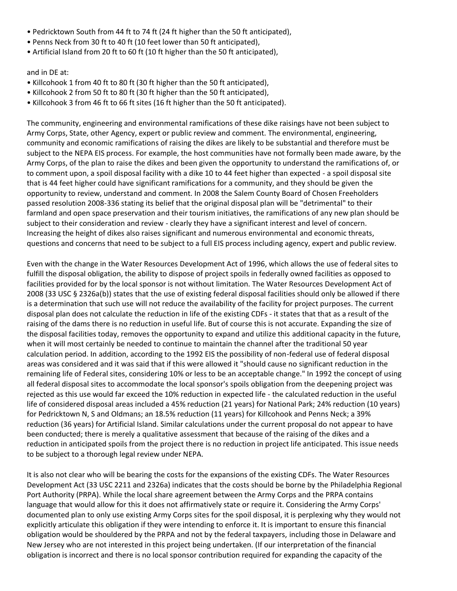- Pedricktown South from 44 ft to 74 ft (24 ft higher than the 50 ft anticipated),
- Penns Neck from 30 ft to 40 ft (10 feet lower than 50 ft anticipated),
- Artificial Island from 20 ft to 60 ft (10 ft higher than the 50 ft anticipated),

and in DE at:

- Killcohook 1 from 40 ft to 80 ft (30 ft higher than the 50 ft anticipated),
- Killcohook 2 from 50 ft to 80 ft (30 ft higher than the 50 ft anticipated),
- Killcohook 3 from 46 ft to 66 ft sites (16 ft higher than the 50 ft anticipated).

The community, engineering and environmental ramifications of these dike raisings have not been subject to Army Corps, State, other Agency, expert or public review and comment. The environmental, engineering, community and economic ramifications of raising the dikes are likely to be substantial and therefore must be subject to the NEPA EIS process. For example, the host communities have not formally been made aware, by the Army Corps, of the plan to raise the dikes and been given the opportunity to understand the ramifications of, or to comment upon, a spoil disposal facility with a dike 10 to 44 feet higher than expected - a spoil disposal site that is 44 feet higher could have significant ramifications for a community, and they should be given the opportunity to review, understand and comment. In 2008 the Salem County Board of Chosen Freeholders passed resolution 2008-336 stating its belief that the original disposal plan will be "detrimental" to their farmland and open space preservation and their tourism initiatives, the ramifications of any new plan should be subject to their consideration and review - clearly they have a significant interest and level of concern. Increasing the height of dikes also raises significant and numerous environmental and economic threats, questions and concerns that need to be subject to a full EIS process including agency, expert and public review.

Even with the change in the Water Resources Development Act of 1996, which allows the use of federal sites to fulfill the disposal obligation, the ability to dispose of project spoils in federally owned facilities as opposed to facilities provided for by the local sponsor is not without limitation. The Water Resources Development Act of 2008 (33 USC § 2326a(b)) states that the use of existing federal disposal facilities should only be allowed if there is a determination that such use will not reduce the availability of the facility for project purposes. The current disposal plan does not calculate the reduction in life of the existing CDFs - it states that that as a result of the raising of the dams there is no reduction in useful life. But of course this is not accurate. Expanding the size of the disposal facilities today, removes the opportunity to expand and utilize this additional capacity in the future, when it will most certainly be needed to continue to maintain the channel after the traditional 50 year calculation period. In addition, according to the 1992 EIS the possibility of non-federal use of federal disposal areas was considered and it was said that if this were allowed it "should cause no significant reduction in the remaining life of Federal sites, considering 10% or less to be an acceptable change." In 1992 the concept of using all federal disposal sites to accommodate the local sponsor's spoils obligation from the deepening project was rejected as this use would far exceed the 10% reduction in expected life - the calculated reduction in the useful life of considered disposal areas included a 45% reduction (21 years) for National Park; 24% reduction (10 years) for Pedricktown N, S and Oldmans; an 18.5% reduction (11 years) for Killcohook and Penns Neck; a 39% reduction (36 years) for Artificial Island. Similar calculations under the current proposal do not appear to have been conducted; there is merely a qualitative assessment that because of the raising of the dikes and a reduction in anticipated spoils from the project there is no reduction in project life anticipated. This issue needs to be subject to a thorough legal review under NEPA.

It is also not clear who will be bearing the costs for the expansions of the existing CDFs. The Water Resources Development Act (33 USC 2211 and 2326a) indicates that the costs should be borne by the Philadelphia Regional Port Authority (PRPA). While the local share agreement between the Army Corps and the PRPA contains language that would allow for this it does not affirmatively state or require it. Considering the Army Corps' documented plan to only use existing Army Corps sites for the spoil disposal, it is perplexing why they would not explicitly articulate this obligation if they were intending to enforce it. It is important to ensure this financial obligation would be shouldered by the PRPA and not by the federal taxpayers, including those in Delaware and New Jersey who are not interested in this project being undertaken. (If our interpretation of the financial obligation is incorrect and there is no local sponsor contribution required for expanding the capacity of the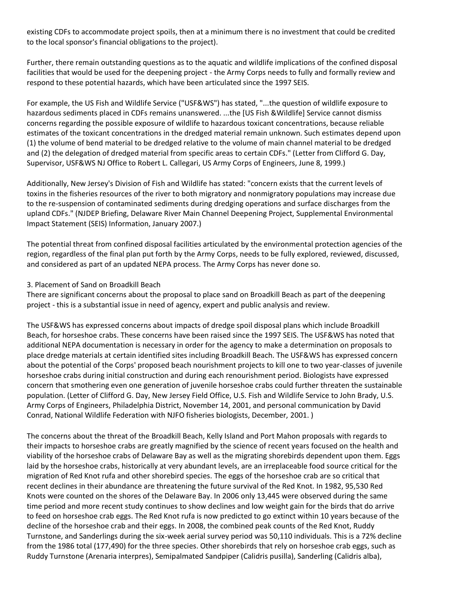existing CDFs to accommodate project spoils, then at a minimum there is no investment that could be credited to the local sponsor's financial obligations to the project).

Further, there remain outstanding questions as to the aquatic and wildlife implications of the confined disposal facilities that would be used for the deepening project - the Army Corps needs to fully and formally review and respond to these potential hazards, which have been articulated since the 1997 SEIS.

For example, the US Fish and Wildlife Service ("USF&WS") has stated, "...the question of wildlife exposure to hazardous sediments placed in CDFs remains unanswered. ...the [US Fish &Wildlife] Service cannot dismiss concerns regarding the possible exposure of wildlife to hazardous toxicant concentrations, because reliable estimates of the toxicant concentrations in the dredged material remain unknown. Such estimates depend upon (1) the volume of bend material to be dredged relative to the volume of main channel material to be dredged and (2) the delegation of dredged material from specific areas to certain CDFs." (Letter from Clifford G. Day, Supervisor, USF&WS NJ Office to Robert L. Callegari, US Army Corps of Engineers, June 8, 1999.)

Additionally, New Jersey's Division of Fish and Wildlife has stated: "concern exists that the current levels of toxins in the fisheries resources of the river to both migratory and nonmigratory populations may increase due to the re-suspension of contaminated sediments during dredging operations and surface discharges from the upland CDFs." (NJDEP Briefing, Delaware River Main Channel Deepening Project, Supplemental Environmental Impact Statement (SEIS) Information, January 2007.)

The potential threat from confined disposal facilities articulated by the environmental protection agencies of the region, regardless of the final plan put forth by the Army Corps, needs to be fully explored, reviewed, discussed, and considered as part of an updated NEPA process. The Army Corps has never done so.

#### 3. Placement of Sand on Broadkill Beach

There are significant concerns about the proposal to place sand on Broadkill Beach as part of the deepening project - this is a substantial issue in need of agency, expert and public analysis and review.

The USF&WS has expressed concerns about impacts of dredge spoil disposal plans which include Broadkill Beach, for horseshoe crabs. These concerns have been raised since the 1997 SEIS. The USF&WS has noted that additional NEPA documentation is necessary in order for the agency to make a determination on proposals to place dredge materials at certain identified sites including Broadkill Beach. The USF&WS has expressed concern about the potential of the Corps' proposed beach nourishment projects to kill one to two year-classes of juvenile horseshoe crabs during initial construction and during each renourishment period. Biologists have expressed concern that smothering even one generation of juvenile horseshoe crabs could further threaten the sustainable population. (Letter of Clifford G. Day, New Jersey Field Office, U.S. Fish and Wildlife Service to John Brady, U.S. Army Corps of Engineers, Philadelphia District, November 14, 2001, and personal communication by David Conrad, National Wildlife Federation with NJFO fisheries biologists, December, 2001. )

The concerns about the threat of the Broadkill Beach, Kelly Island and Port Mahon proposals with regards to their impacts to horseshoe crabs are greatly magnified by the science of recent years focused on the health and viability of the horseshoe crabs of Delaware Bay as well as the migrating shorebirds dependent upon them. Eggs laid by the horseshoe crabs, historically at very abundant levels, are an irreplaceable food source critical for the migration of Red Knot rufa and other shorebird species. The eggs of the horseshoe crab are so critical that recent declines in their abundance are threatening the future survival of the Red Knot. In 1982, 95,530 Red Knots were counted on the shores of the Delaware Bay. In 2006 only 13,445 were observed during the same time period and more recent study continues to show declines and low weight gain for the birds that do arrive to feed on horseshoe crab eggs. The Red Knot rufa is now predicted to go extinct within 10 years because of the decline of the horseshoe crab and their eggs. In 2008, the combined peak counts of the Red Knot, Ruddy Turnstone, and Sanderlings during the six-week aerial survey period was 50,110 individuals. This is a 72% decline from the 1986 total (177,490) for the three species. Other shorebirds that rely on horseshoe crab eggs, such as Ruddy Turnstone (Arenaria interpres), Semipalmated Sandpiper (Calidris pusilla), Sanderling (Calidris alba),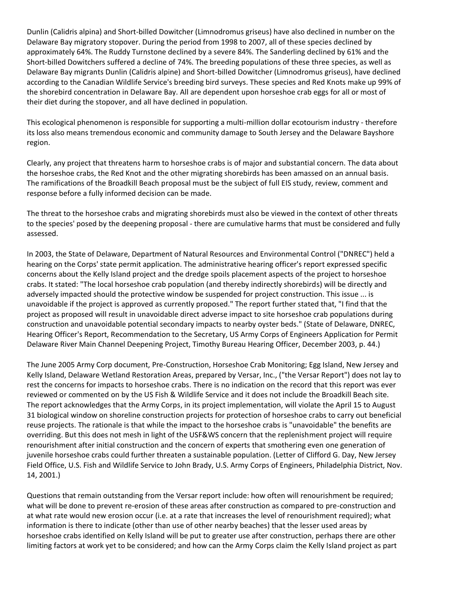Dunlin (Calidris alpina) and Short-billed Dowitcher (Limnodromus griseus) have also declined in number on the Delaware Bay migratory stopover. During the period from 1998 to 2007, all of these species declined by approximately 64%. The Ruddy Turnstone declined by a severe 84%. The Sanderling declined by 61% and the Short-billed Dowitchers suffered a decline of 74%. The breeding populations of these three species, as well as Delaware Bay migrants Dunlin (Calidris alpine) and Short-billed Dowitcher (Limnodromus griseus), have declined according to the Canadian Wildlife Service's breeding bird surveys. These species and Red Knots make up 99% of the shorebird concentration in Delaware Bay. All are dependent upon horseshoe crab eggs for all or most of their diet during the stopover, and all have declined in population.

This ecological phenomenon is responsible for supporting a multi-million dollar ecotourism industry - therefore its loss also means tremendous economic and community damage to South Jersey and the Delaware Bayshore region.

Clearly, any project that threatens harm to horseshoe crabs is of major and substantial concern. The data about the horseshoe crabs, the Red Knot and the other migrating shorebirds has been amassed on an annual basis. The ramifications of the Broadkill Beach proposal must be the subject of full EIS study, review, comment and response before a fully informed decision can be made.

The threat to the horseshoe crabs and migrating shorebirds must also be viewed in the context of other threats to the species' posed by the deepening proposal - there are cumulative harms that must be considered and fully assessed.

In 2003, the State of Delaware, Department of Natural Resources and Environmental Control ("DNREC") held a hearing on the Corps' state permit application. The administrative hearing officer's report expressed specific concerns about the Kelly Island project and the dredge spoils placement aspects of the project to horseshoe crabs. It stated: "The local horseshoe crab population (and thereby indirectly shorebirds) will be directly and adversely impacted should the protective window be suspended for project construction. This issue ... is unavoidable if the project is approved as currently proposed." The report further stated that, "I find that the project as proposed will result in unavoidable direct adverse impact to site horseshoe crab populations during construction and unavoidable potential secondary impacts to nearby oyster beds." (State of Delaware, DNREC, Hearing Officer's Report, Recommendation to the Secretary, US Army Corps of Engineers Application for Permit Delaware River Main Channel Deepening Project, Timothy Bureau Hearing Officer, December 2003, p. 44.)

The June 2005 Army Corp document, Pre-Construction, Horseshoe Crab Monitoring; Egg Island, New Jersey and Kelly Island, Delaware Wetland Restoration Areas, prepared by Versar, Inc., ("the Versar Report") does not lay to rest the concerns for impacts to horseshoe crabs. There is no indication on the record that this report was ever reviewed or commented on by the US Fish & Wildlife Service and it does not include the Broadkill Beach site. The report acknowledges that the Army Corps, in its project implementation, will violate the April 15 to August 31 biological window on shoreline construction projects for protection of horseshoe crabs to carry out beneficial reuse projects. The rationale is that while the impact to the horseshoe crabs is "unavoidable" the benefits are overriding. But this does not mesh in light of the USF&WS concern that the replenishment project will require renourishment after initial construction and the concern of experts that smothering even one generation of juvenile horseshoe crabs could further threaten a sustainable population. (Letter of Clifford G. Day, New Jersey Field Office, U.S. Fish and Wildlife Service to John Brady, U.S. Army Corps of Engineers, Philadelphia District, Nov. 14, 2001.)

Questions that remain outstanding from the Versar report include: how often will renourishment be required; what will be done to prevent re-erosion of these areas after construction as compared to pre-construction and at what rate would new erosion occur (i.e. at a rate that increases the level of renourishment required); what information is there to indicate (other than use of other nearby beaches) that the lesser used areas by horseshoe crabs identified on Kelly Island will be put to greater use after construction, perhaps there are other limiting factors at work yet to be considered; and how can the Army Corps claim the Kelly Island project as part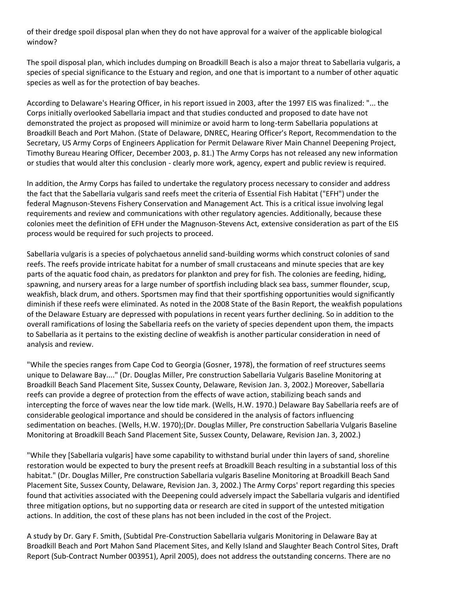of their dredge spoil disposal plan when they do not have approval for a waiver of the applicable biological window?

The spoil disposal plan, which includes dumping on Broadkill Beach is also a major threat to Sabellaria vulgaris, a species of special significance to the Estuary and region, and one that is important to a number of other aquatic species as well as for the protection of bay beaches.

According to Delaware's Hearing Officer, in his report issued in 2003, after the 1997 EIS was finalized: "... the Corps initially overlooked Sabellaria impact and that studies conducted and proposed to date have not demonstrated the project as proposed will minimize or avoid harm to long-term Sabellaria populations at Broadkill Beach and Port Mahon. (State of Delaware, DNREC, Hearing Officer's Report, Recommendation to the Secretary, US Army Corps of Engineers Application for Permit Delaware River Main Channel Deepening Project, Timothy Bureau Hearing Officer, December 2003, p. 81.) The Army Corps has not released any new information or studies that would alter this conclusion - clearly more work, agency, expert and public review is required.

In addition, the Army Corps has failed to undertake the regulatory process necessary to consider and address the fact that the Sabellaria vulgaris sand reefs meet the criteria of Essential Fish Habitat ("EFH") under the federal Magnuson-Stevens Fishery Conservation and Management Act. This is a critical issue involving legal requirements and review and communications with other regulatory agencies. Additionally, because these colonies meet the definition of EFH under the Magnuson-Stevens Act, extensive consideration as part of the EIS process would be required for such projects to proceed.

Sabellaria vulgaris is a species of polychaetous annelid sand-building worms which construct colonies of sand reefs. The reefs provide intricate habitat for a number of small crustaceans and minute species that are key parts of the aquatic food chain, as predators for plankton and prey for fish. The colonies are feeding, hiding, spawning, and nursery areas for a large number of sportfish including black sea bass, summer flounder, scup, weakfish, black drum, and others. Sportsmen may find that their sportfishing opportunities would significantly diminish if these reefs were eliminated. As noted in the 2008 State of the Basin Report, the weakfish populations of the Delaware Estuary are depressed with populations in recent years further declining. So in addition to the overall ramifications of losing the Sabellaria reefs on the variety of species dependent upon them, the impacts to Sabellaria as it pertains to the existing decline of weakfish is another particular consideration in need of analysis and review.

"While the species ranges from Cape Cod to Georgia (Gosner, 1978), the formation of reef structures seems unique to Delaware Bay...." (Dr. Douglas Miller, Pre construction Sabellaria Vulgaris Baseline Monitoring at Broadkill Beach Sand Placement Site, Sussex County, Delaware, Revision Jan. 3, 2002.) Moreover, Sabellaria reefs can provide a degree of protection from the effects of wave action, stabilizing beach sands and intercepting the force of waves near the low tide mark. (Wells, H.W. 1970.) Delaware Bay Sabellaria reefs are of considerable geological importance and should be considered in the analysis of factors influencing sedimentation on beaches. (Wells, H.W. 1970);(Dr. Douglas Miller, Pre construction Sabellaria Vulgaris Baseline Monitoring at Broadkill Beach Sand Placement Site, Sussex County, Delaware, Revision Jan. 3, 2002.)

"While they [Sabellaria vulgaris] have some capability to withstand burial under thin layers of sand, shoreline restoration would be expected to bury the present reefs at Broadkill Beach resulting in a substantial loss of this habitat." (Dr. Douglas Miller, Pre construction Sabellaria vulgaris Baseline Monitoring at Broadkill Beach Sand Placement Site, Sussex County, Delaware, Revision Jan. 3, 2002.) The Army Corps' report regarding this species found that activities associated with the Deepening could adversely impact the Sabellaria vulgaris and identified three mitigation options, but no supporting data or research are cited in support of the untested mitigation actions. In addition, the cost of these plans has not been included in the cost of the Project.

A study by Dr. Gary F. Smith, (Subtidal Pre-Construction Sabellaria vulgaris Monitoring in Delaware Bay at Broadkill Beach and Port Mahon Sand Placement Sites, and Kelly Island and Slaughter Beach Control Sites, Draft Report (Sub-Contract Number 003951), April 2005), does not address the outstanding concerns. There are no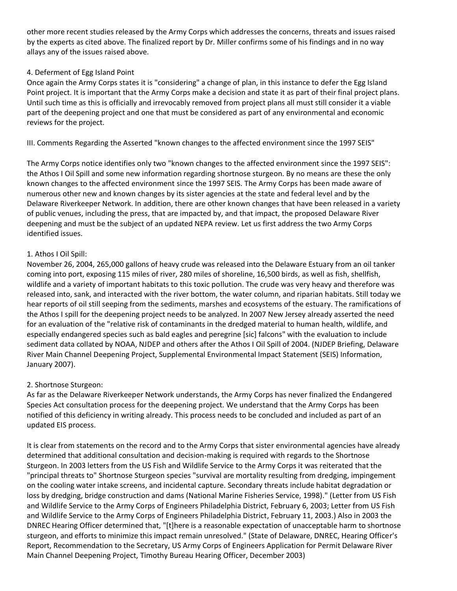other more recent studies released by the Army Corps which addresses the concerns, threats and issues raised by the experts as cited above. The finalized report by Dr. Miller confirms some of his findings and in no way allays any of the issues raised above.

## 4. Deferment of Egg Island Point

Once again the Army Corps states it is "considering" a change of plan, in this instance to defer the Egg Island Point project. It is important that the Army Corps make a decision and state it as part of their final project plans. Until such time as this is officially and irrevocably removed from project plans all must still consider it a viable part of the deepening project and one that must be considered as part of any environmental and economic reviews for the project.

III. Comments Regarding the Asserted "known changes to the affected environment since the 1997 SEIS"

The Army Corps notice identifies only two "known changes to the affected environment since the 1997 SEIS": the Athos I Oil Spill and some new information regarding shortnose sturgeon. By no means are these the only known changes to the affected environment since the 1997 SEIS. The Army Corps has been made aware of numerous other new and known changes by its sister agencies at the state and federal level and by the Delaware Riverkeeper Network. In addition, there are other known changes that have been released in a variety of public venues, including the press, that are impacted by, and that impact, the proposed Delaware River deepening and must be the subject of an updated NEPA review. Let us first address the two Army Corps identified issues.

### 1. Athos I Oil Spill:

November 26, 2004, 265,000 gallons of heavy crude was released into the Delaware Estuary from an oil tanker coming into port, exposing 115 miles of river, 280 miles of shoreline, 16,500 birds, as well as fish, shellfish, wildlife and a variety of important habitats to this toxic pollution. The crude was very heavy and therefore was released into, sank, and interacted with the river bottom, the water column, and riparian habitats. Still today we hear reports of oil still seeping from the sediments, marshes and ecosystems of the estuary. The ramifications of the Athos I spill for the deepening project needs to be analyzed. In 2007 New Jersey already asserted the need for an evaluation of the "relative risk of contaminants in the dredged material to human health, wildlife, and especially endangered species such as bald eagles and peregrine [sic] falcons" with the evaluation to include sediment data collated by NOAA, NJDEP and others after the Athos I Oil Spill of 2004. (NJDEP Briefing, Delaware River Main Channel Deepening Project, Supplemental Environmental Impact Statement (SEIS) Information, January 2007).

## 2. Shortnose Sturgeon:

As far as the Delaware Riverkeeper Network understands, the Army Corps has never finalized the Endangered Species Act consultation process for the deepening project. We understand that the Army Corps has been notified of this deficiency in writing already. This process needs to be concluded and included as part of an updated EIS process.

It is clear from statements on the record and to the Army Corps that sister environmental agencies have already determined that additional consultation and decision-making is required with regards to the Shortnose Sturgeon. In 2003 letters from the US Fish and Wildlife Service to the Army Corps it was reiterated that the "principal threats to" Shortnose Sturgeon species "survival are mortality resulting from dredging, impingement on the cooling water intake screens, and incidental capture. Secondary threats include habitat degradation or loss by dredging, bridge construction and dams (National Marine Fisheries Service, 1998)." (Letter from US Fish and Wildlife Service to the Army Corps of Engineers Philadelphia District, February 6, 2003; Letter from US Fish and Wildlife Service to the Army Corps of Engineers Philadelphia District, February 11, 2003.) Also in 2003 the DNREC Hearing Officer determined that, "[t]here is a reasonable expectation of unacceptable harm to shortnose sturgeon, and efforts to minimize this impact remain unresolved." (State of Delaware, DNREC, Hearing Officer's Report, Recommendation to the Secretary, US Army Corps of Engineers Application for Permit Delaware River Main Channel Deepening Project, Timothy Bureau Hearing Officer, December 2003)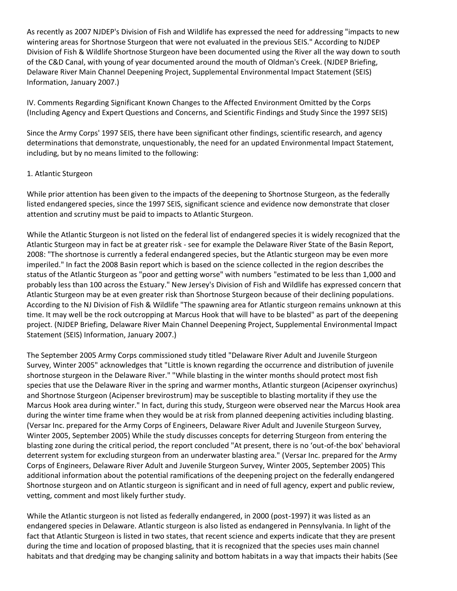As recently as 2007 NJDEP's Division of Fish and Wildlife has expressed the need for addressing "impacts to new wintering areas for Shortnose Sturgeon that were not evaluated in the previous SEIS." According to NJDEP Division of Fish & Wildlife Shortnose Sturgeon have been documented using the River all the way down to south of the C&D Canal, with young of year documented around the mouth of Oldman's Creek. (NJDEP Briefing, Delaware River Main Channel Deepening Project, Supplemental Environmental Impact Statement (SEIS) Information, January 2007.)

IV. Comments Regarding Significant Known Changes to the Affected Environment Omitted by the Corps (Including Agency and Expert Questions and Concerns, and Scientific Findings and Study Since the 1997 SEIS)

Since the Army Corps' 1997 SEIS, there have been significant other findings, scientific research, and agency determinations that demonstrate, unquestionably, the need for an updated Environmental Impact Statement, including, but by no means limited to the following:

### 1. Atlantic Sturgeon

While prior attention has been given to the impacts of the deepening to Shortnose Sturgeon, as the federally listed endangered species, since the 1997 SEIS, significant science and evidence now demonstrate that closer attention and scrutiny must be paid to impacts to Atlantic Sturgeon.

While the Atlantic Sturgeon is not listed on the federal list of endangered species it is widely recognized that the Atlantic Sturgeon may in fact be at greater risk - see for example the Delaware River State of the Basin Report, 2008: "The shortnose is currently a federal endangered species, but the Atlantic sturgeon may be even more imperiled." In fact the 2008 Basin report which is based on the science collected in the region describes the status of the Atlantic Sturgeon as "poor and getting worse" with numbers "estimated to be less than 1,000 and probably less than 100 across the Estuary." New Jersey's Division of Fish and Wildlife has expressed concern that Atlantic Sturgeon may be at even greater risk than Shortnose Sturgeon because of their declining populations. According to the NJ Division of Fish & Wildlife "The spawning area for Atlantic sturgeon remains unknown at this time. It may well be the rock outcropping at Marcus Hook that will have to be blasted" as part of the deepening project. (NJDEP Briefing, Delaware River Main Channel Deepening Project, Supplemental Environmental Impact Statement (SEIS) Information, January 2007.)

The September 2005 Army Corps commissioned study titled "Delaware River Adult and Juvenile Sturgeon Survey, Winter 2005" acknowledges that "Little is known regarding the occurrence and distribution of juvenile shortnose sturgeon in the Delaware River." "While blasting in the winter months should protect most fish species that use the Delaware River in the spring and warmer months, Atlantic sturgeon (Acipenser oxyrinchus) and Shortnose Sturgeon (Acipenser brevirostrum) may be susceptible to blasting mortality if they use the Marcus Hook area during winter." In fact, during this study, Sturgeon were observed near the Marcus Hook area during the winter time frame when they would be at risk from planned deepening activities including blasting. (Versar Inc. prepared for the Army Corps of Engineers, Delaware River Adult and Juvenile Sturgeon Survey, Winter 2005, September 2005) While the study discusses concepts for deterring Sturgeon from entering the blasting zone during the critical period, the report concluded "At present, there is no 'out-of-the box' behavioral deterrent system for excluding sturgeon from an underwater blasting area." (Versar Inc. prepared for the Army Corps of Engineers, Delaware River Adult and Juvenile Sturgeon Survey, Winter 2005, September 2005) This additional information about the potential ramifications of the deepening project on the federally endangered Shortnose sturgeon and on Atlantic sturgeon is significant and in need of full agency, expert and public review, vetting, comment and most likely further study.

While the Atlantic sturgeon is not listed as federally endangered, in 2000 (post-1997) it was listed as an endangered species in Delaware. Atlantic sturgeon is also listed as endangered in Pennsylvania. In light of the fact that Atlantic Sturgeon is listed in two states, that recent science and experts indicate that they are present during the time and location of proposed blasting, that it is recognized that the species uses main channel habitats and that dredging may be changing salinity and bottom habitats in a way that impacts their habits (See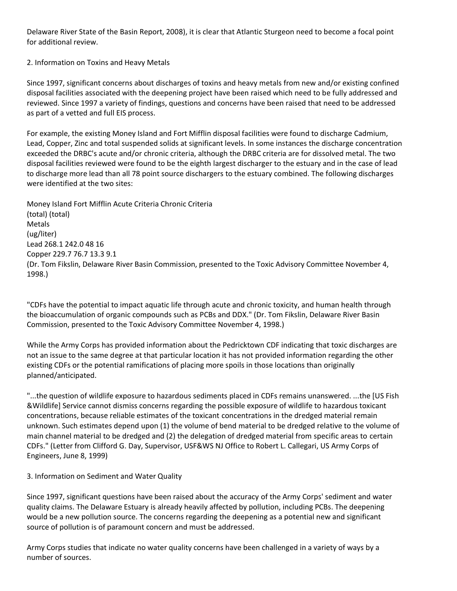Delaware River State of the Basin Report, 2008), it is clear that Atlantic Sturgeon need to become a focal point for additional review.

2. Information on Toxins and Heavy Metals

Since 1997, significant concerns about discharges of toxins and heavy metals from new and/or existing confined disposal facilities associated with the deepening project have been raised which need to be fully addressed and reviewed. Since 1997 a variety of findings, questions and concerns have been raised that need to be addressed as part of a vetted and full EIS process.

For example, the existing Money Island and Fort Mifflin disposal facilities were found to discharge Cadmium, Lead, Copper, Zinc and total suspended solids at significant levels. In some instances the discharge concentration exceeded the DRBC's acute and/or chronic criteria, although the DRBC criteria are for dissolved metal. The two disposal facilities reviewed were found to be the eighth largest discharger to the estuary and in the case of lead to discharge more lead than all 78 point source dischargers to the estuary combined. The following discharges were identified at the two sites:

Money Island Fort Mifflin Acute Criteria Chronic Criteria (total) (total) Metals (ug/liter) Lead 268.1 242.0 48 16 Copper 229.7 76.7 13.3 9.1 (Dr. Tom Fikslin, Delaware River Basin Commission, presented to the Toxic Advisory Committee November 4, 1998.)

"CDFs have the potential to impact aquatic life through acute and chronic toxicity, and human health through the bioaccumulation of organic compounds such as PCBs and DDX." (Dr. Tom Fikslin, Delaware River Basin Commission, presented to the Toxic Advisory Committee November 4, 1998.)

While the Army Corps has provided information about the Pedricktown CDF indicating that toxic discharges are not an issue to the same degree at that particular location it has not provided information regarding the other existing CDFs or the potential ramifications of placing more spoils in those locations than originally planned/anticipated.

"...the question of wildlife exposure to hazardous sediments placed in CDFs remains unanswered. ...the [US Fish &Wildlife] Service cannot dismiss concerns regarding the possible exposure of wildlife to hazardous toxicant concentrations, because reliable estimates of the toxicant concentrations in the dredged material remain unknown. Such estimates depend upon (1) the volume of bend material to be dredged relative to the volume of main channel material to be dredged and (2) the delegation of dredged material from specific areas to certain CDFs." (Letter from Clifford G. Day, Supervisor, USF&WS NJ Office to Robert L. Callegari, US Army Corps of Engineers, June 8, 1999)

## 3. Information on Sediment and Water Quality

Since 1997, significant questions have been raised about the accuracy of the Army Corps' sediment and water quality claims. The Delaware Estuary is already heavily affected by pollution, including PCBs. The deepening would be a new pollution source. The concerns regarding the deepening as a potential new and significant source of pollution is of paramount concern and must be addressed.

Army Corps studies that indicate no water quality concerns have been challenged in a variety of ways by a number of sources.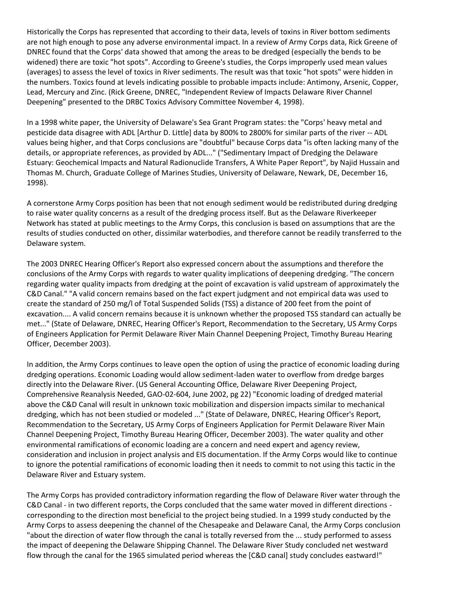Historically the Corps has represented that according to their data, levels of toxins in River bottom sediments are not high enough to pose any adverse environmental impact. In a review of Army Corps data, Rick Greene of DNREC found that the Corps' data showed that among the areas to be dredged (especially the bends to be widened) there are toxic "hot spots". According to Greene's studies, the Corps improperly used mean values (averages) to assess the level of toxics in River sediments. The result was that toxic "hot spots" were hidden in the numbers. Toxics found at levels indicating possible to probable impacts include: Antimony, Arsenic, Copper, Lead, Mercury and Zinc. (Rick Greene, DNREC, "Independent Review of Impacts Delaware River Channel Deepening" presented to the DRBC Toxics Advisory Committee November 4, 1998).

In a 1998 white paper, the University of Delaware's Sea Grant Program states: the "Corps' heavy metal and pesticide data disagree with ADL [Arthur D. Little] data by 800% to 2800% for similar parts of the river -- ADL values being higher, and that Corps conclusions are "doubtful" because Corps data "is often lacking many of the details, or appropriate references, as provided by ADL..." ("Sedimentary Impact of Dredging the Delaware Estuary: Geochemical Impacts and Natural Radionuclide Transfers, A White Paper Report", by Najid Hussain and Thomas M. Church, Graduate College of Marines Studies, University of Delaware, Newark, DE, December 16, 1998).

A cornerstone Army Corps position has been that not enough sediment would be redistributed during dredging to raise water quality concerns as a result of the dredging process itself. But as the Delaware Riverkeeper Network has stated at public meetings to the Army Corps, this conclusion is based on assumptions that are the results of studies conducted on other, dissimilar waterbodies, and therefore cannot be readily transferred to the Delaware system.

The 2003 DNREC Hearing Officer's Report also expressed concern about the assumptions and therefore the conclusions of the Army Corps with regards to water quality implications of deepening dredging. "The concern regarding water quality impacts from dredging at the point of excavation is valid upstream of approximately the C&D Canal." "A valid concern remains based on the fact expert judgment and not empirical data was used to create the standard of 250 mg/l of Total Suspended Solids (TSS) a distance of 200 feet from the point of excavation.... A valid concern remains because it is unknown whether the proposed TSS standard can actually be met..." (State of Delaware, DNREC, Hearing Officer's Report, Recommendation to the Secretary, US Army Corps of Engineers Application for Permit Delaware River Main Channel Deepening Project, Timothy Bureau Hearing Officer, December 2003).

In addition, the Army Corps continues to leave open the option of using the practice of economic loading during dredging operations. Economic Loading would allow sediment-laden water to overflow from dredge barges directly into the Delaware River. (US General Accounting Office, Delaware River Deepening Project, Comprehensive Reanalysis Needed, GAO-02-604, June 2002, pg 22) "Economic loading of dredged material above the C&D Canal will result in unknown toxic mobilization and dispersion impacts similar to mechanical dredging, which has not been studied or modeled ..." (State of Delaware, DNREC, Hearing Officer's Report, Recommendation to the Secretary, US Army Corps of Engineers Application for Permit Delaware River Main Channel Deepening Project, Timothy Bureau Hearing Officer, December 2003). The water quality and other environmental ramifications of economic loading are a concern and need expert and agency review, consideration and inclusion in project analysis and EIS documentation. If the Army Corps would like to continue to ignore the potential ramifications of economic loading then it needs to commit to not using this tactic in the Delaware River and Estuary system.

The Army Corps has provided contradictory information regarding the flow of Delaware River water through the C&D Canal - in two different reports, the Corps concluded that the same water moved in different directions corresponding to the direction most beneficial to the project being studied. In a 1999 study conducted by the Army Corps to assess deepening the channel of the Chesapeake and Delaware Canal, the Army Corps conclusion "about the direction of water flow through the canal is totally reversed from the ... study performed to assess the impact of deepening the Delaware Shipping Channel. The Delaware River Study concluded net westward flow through the canal for the 1965 simulated period whereas the [C&D canal] study concludes eastward!"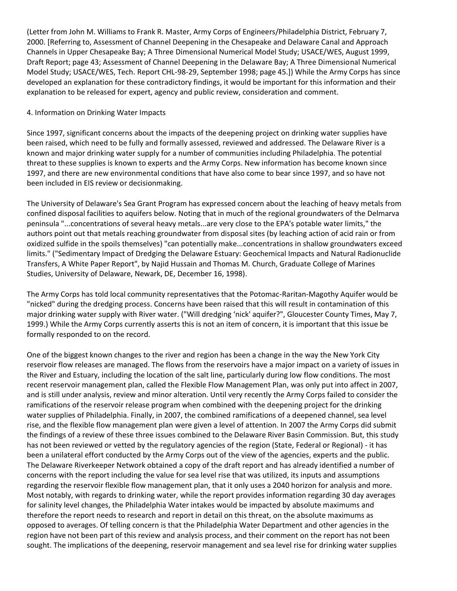(Letter from John M. Williams to Frank R. Master, Army Corps of Engineers/Philadelphia District, February 7, 2000. [Referring to, Assessment of Channel Deepening in the Chesapeake and Delaware Canal and Approach Channels in Upper Chesapeake Bay; A Three Dimensional Numerical Model Study; USACE/WES, August 1999, Draft Report; page 43; Assessment of Channel Deepening in the Delaware Bay; A Three Dimensional Numerical Model Study; USACE/WES, Tech. Report CHL-98-29, September 1998; page 45.]) While the Army Corps has since developed an explanation for these contradictory findings, it would be important for this information and their explanation to be released for expert, agency and public review, consideration and comment.

#### 4. Information on Drinking Water Impacts

Since 1997, significant concerns about the impacts of the deepening project on drinking water supplies have been raised, which need to be fully and formally assessed, reviewed and addressed. The Delaware River is a known and major drinking water supply for a number of communities including Philadelphia. The potential threat to these supplies is known to experts and the Army Corps. New information has become known since 1997, and there are new environmental conditions that have also come to bear since 1997, and so have not been included in EIS review or decisionmaking.

The University of Delaware's Sea Grant Program has expressed concern about the leaching of heavy metals from confined disposal facilities to aquifers below. Noting that in much of the regional groundwaters of the Delmarva peninsula "...concentrations of several heavy metals...are very close to the EPA's potable water limits," the authors point out that metals reaching groundwater from disposal sites (by leaching action of acid rain or from oxidized sulfide in the spoils themselves) "can potentially make...concentrations in shallow groundwaters exceed limits." ("Sedimentary Impact of Dredging the Delaware Estuary: Geochemical Impacts and Natural Radionuclide Transfers, A White Paper Report", by Najid Hussain and Thomas M. Church, Graduate College of Marines Studies, University of Delaware, Newark, DE, December 16, 1998).

The Army Corps has told local community representatives that the Potomac-Raritan-Magothy Aquifer would be "nicked" during the dredging process. Concerns have been raised that this will result in contamination of this major drinking water supply with River water. ("Will dredging 'nick' aquifer?", Gloucester County Times, May 7, 1999.) While the Army Corps currently asserts this is not an item of concern, it is important that this issue be formally responded to on the record.

One of the biggest known changes to the river and region has been a change in the way the New York City reservoir flow releases are managed. The flows from the reservoirs have a major impact on a variety of issues in the River and Estuary, including the location of the salt line, particularly during low flow conditions. The most recent reservoir management plan, called the Flexible Flow Management Plan, was only put into affect in 2007, and is still under analysis, review and minor alteration. Until very recently the Army Corps failed to consider the ramifications of the reservoir release program when combined with the deepening project for the drinking water supplies of Philadelphia. Finally, in 2007, the combined ramifications of a deepened channel, sea level rise, and the flexible flow management plan were given a level of attention. In 2007 the Army Corps did submit the findings of a review of these three issues combined to the Delaware River Basin Commission. But, this study has not been reviewed or vetted by the regulatory agencies of the region (State, Federal or Regional) - it has been a unilateral effort conducted by the Army Corps out of the view of the agencies, experts and the public. The Delaware Riverkeeper Network obtained a copy of the draft report and has already identified a number of concerns with the report including the value for sea level rise that was utilized, its inputs and assumptions regarding the reservoir flexible flow management plan, that it only uses a 2040 horizon for analysis and more. Most notably, with regards to drinking water, while the report provides information regarding 30 day averages for salinity level changes, the Philadelphia Water intakes would be impacted by absolute maximums and therefore the report needs to research and report in detail on this threat, on the absolute maximums as opposed to averages. Of telling concern is that the Philadelphia Water Department and other agencies in the region have not been part of this review and analysis process, and their comment on the report has not been sought. The implications of the deepening, reservoir management and sea level rise for drinking water supplies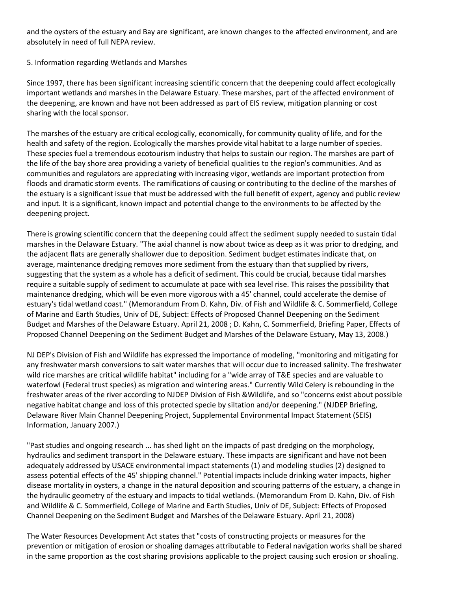and the oysters of the estuary and Bay are significant, are known changes to the affected environment, and are absolutely in need of full NEPA review.

### 5. Information regarding Wetlands and Marshes

Since 1997, there has been significant increasing scientific concern that the deepening could affect ecologically important wetlands and marshes in the Delaware Estuary. These marshes, part of the affected environment of the deepening, are known and have not been addressed as part of EIS review, mitigation planning or cost sharing with the local sponsor.

The marshes of the estuary are critical ecologically, economically, for community quality of life, and for the health and safety of the region. Ecologically the marshes provide vital habitat to a large number of species. These species fuel a tremendous ecotourism industry that helps to sustain our region. The marshes are part of the life of the bay shore area providing a variety of beneficial qualities to the region's communities. And as communities and regulators are appreciating with increasing vigor, wetlands are important protection from floods and dramatic storm events. The ramifications of causing or contributing to the decline of the marshes of the estuary is a significant issue that must be addressed with the full benefit of expert, agency and public review and input. It is a significant, known impact and potential change to the environments to be affected by the deepening project.

There is growing scientific concern that the deepening could affect the sediment supply needed to sustain tidal marshes in the Delaware Estuary. "The axial channel is now about twice as deep as it was prior to dredging, and the adjacent flats are generally shallower due to deposition. Sediment budget estimates indicate that, on average, maintenance dredging removes more sediment from the estuary than that supplied by rivers, suggesting that the system as a whole has a deficit of sediment. This could be crucial, because tidal marshes require a suitable supply of sediment to accumulate at pace with sea level rise. This raises the possibility that maintenance dredging, which will be even more vigorous with a 45' channel, could accelerate the demise of estuary's tidal wetland coast." (Memorandum From D. Kahn, Div. of Fish and Wildlife & C. Sommerfield, College of Marine and Earth Studies, Univ of DE, Subject: Effects of Proposed Channel Deepening on the Sediment Budget and Marshes of the Delaware Estuary. April 21, 2008 ; D. Kahn, C. Sommerfield, Briefing Paper, Effects of Proposed Channel Deepening on the Sediment Budget and Marshes of the Delaware Estuary, May 13, 2008.)

NJ DEP's Division of Fish and Wildlife has expressed the importance of modeling, "monitoring and mitigating for any freshwater marsh conversions to salt water marshes that will occur due to increased salinity. The freshwater wild rice marshes are critical wildlife habitat" including for a "wide array of T&E species and are valuable to waterfowl (Federal trust species) as migration and wintering areas." Currently Wild Celery is rebounding in the freshwater areas of the river according to NJDEP Division of Fish &Wildlife, and so "concerns exist about possible negative habitat change and loss of this protected specie by siltation and/or deepening." (NJDEP Briefing, Delaware River Main Channel Deepening Project, Supplemental Environmental Impact Statement (SEIS) Information, January 2007.)

"Past studies and ongoing research ... has shed light on the impacts of past dredging on the morphology, hydraulics and sediment transport in the Delaware estuary. These impacts are significant and have not been adequately addressed by USACE environmental impact statements (1) and modeling studies (2) designed to assess potential effects of the 45' shipping channel." Potential impacts include drinking water impacts, higher disease mortality in oysters, a change in the natural deposition and scouring patterns of the estuary, a change in the hydraulic geometry of the estuary and impacts to tidal wetlands. (Memorandum From D. Kahn, Div. of Fish and Wildlife & C. Sommerfield, College of Marine and Earth Studies, Univ of DE, Subject: Effects of Proposed Channel Deepening on the Sediment Budget and Marshes of the Delaware Estuary. April 21, 2008)

The Water Resources Development Act states that "costs of constructing projects or measures for the prevention or mitigation of erosion or shoaling damages attributable to Federal navigation works shall be shared in the same proportion as the cost sharing provisions applicable to the project causing such erosion or shoaling.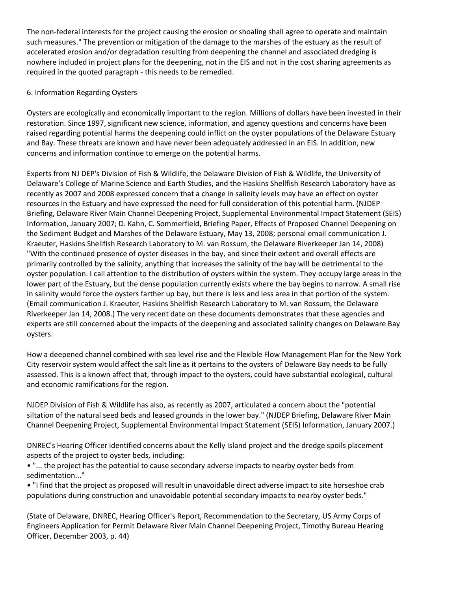The non-federal interests for the project causing the erosion or shoaling shall agree to operate and maintain such measures." The prevention or mitigation of the damage to the marshes of the estuary as the result of accelerated erosion and/or degradation resulting from deepening the channel and associated dredging is nowhere included in project plans for the deepening, not in the EIS and not in the cost sharing agreements as required in the quoted paragraph - this needs to be remedied.

## 6. Information Regarding Oysters

Oysters are ecologically and economically important to the region. Millions of dollars have been invested in their restoration. Since 1997, significant new science, information, and agency questions and concerns have been raised regarding potential harms the deepening could inflict on the oyster populations of the Delaware Estuary and Bay. These threats are known and have never been adequately addressed in an EIS. In addition, new concerns and information continue to emerge on the potential harms.

Experts from NJ DEP's Division of Fish & Wildlife, the Delaware Division of Fish & Wildlife, the University of Delaware's College of Marine Science and Earth Studies, and the Haskins Shellfish Research Laboratory have as recently as 2007 and 2008 expressed concern that a change in salinity levels may have an effect on oyster resources in the Estuary and have expressed the need for full consideration of this potential harm. (NJDEP Briefing, Delaware River Main Channel Deepening Project, Supplemental Environmental Impact Statement (SEIS) Information, January 2007; D. Kahn, C. Sommerfield, Briefing Paper, Effects of Proposed Channel Deepening on the Sediment Budget and Marshes of the Delaware Estuary, May 13, 2008; personal email communication J. Kraeuter, Haskins Shellfish Research Laboratory to M. van Rossum, the Delaware Riverkeeper Jan 14, 2008) "With the continued presence of oyster diseases in the bay, and since their extent and overall effects are primarily controlled by the salinity, anything that increases the salinity of the bay will be detrimental to the oyster population. I call attention to the distribution of oysters within the system. They occupy large areas in the lower part of the Estuary, but the dense population currently exists where the bay begins to narrow. A small rise in salinity would force the oysters farther up bay, but there is less and less area in that portion of the system. (Email communication J. Kraeuter, Haskins Shellfish Research Laboratory to M. van Rossum, the Delaware Riverkeeper Jan 14, 2008.) The very recent date on these documents demonstrates that these agencies and experts are still concerned about the impacts of the deepening and associated salinity changes on Delaware Bay oysters.

How a deepened channel combined with sea level rise and the Flexible Flow Management Plan for the New York City reservoir system would affect the salt line as it pertains to the oysters of Delaware Bay needs to be fully assessed. This is a known affect that, through impact to the oysters, could have substantial ecological, cultural and economic ramifications for the region.

NJDEP Division of Fish & Wildlife has also, as recently as 2007, articulated a concern about the "potential siltation of the natural seed beds and leased grounds in the lower bay." (NJDEP Briefing, Delaware River Main Channel Deepening Project, Supplemental Environmental Impact Statement (SEIS) Information, January 2007.)

DNREC's Hearing Officer identified concerns about the Kelly Island project and the dredge spoils placement aspects of the project to oyster beds, including:

• "... the project has the potential to cause secondary adverse impacts to nearby oyster beds from sedimentation..."

• "I find that the project as proposed will result in unavoidable direct adverse impact to site horseshoe crab populations during construction and unavoidable potential secondary impacts to nearby oyster beds."

(State of Delaware, DNREC, Hearing Officer's Report, Recommendation to the Secretary, US Army Corps of Engineers Application for Permit Delaware River Main Channel Deepening Project, Timothy Bureau Hearing Officer, December 2003, p. 44)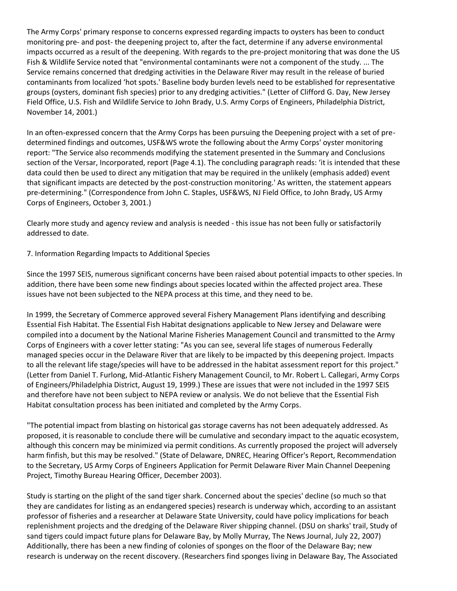The Army Corps' primary response to concerns expressed regarding impacts to oysters has been to conduct monitoring pre- and post- the deepening project to, after the fact, determine if any adverse environmental impacts occurred as a result of the deepening. With regards to the pre-project monitoring that was done the US Fish & Wildlife Service noted that "environmental contaminants were not a component of the study. ... The Service remains concerned that dredging activities in the Delaware River may result in the release of buried contaminants from localized 'hot spots.' Baseline body burden levels need to be established for representative groups (oysters, dominant fish species) prior to any dredging activities." (Letter of Clifford G. Day, New Jersey Field Office, U.S. Fish and Wildlife Service to John Brady, U.S. Army Corps of Engineers, Philadelphia District, November 14, 2001.)

In an often-expressed concern that the Army Corps has been pursuing the Deepening project with a set of predetermined findings and outcomes, USF&WS wrote the following about the Army Corps' oyster monitoring report: "The Service also recommends modifying the statement presented in the Summary and Conclusions section of the Versar, Incorporated, report (Page 4.1). The concluding paragraph reads: 'it is intended that these data could then be used to direct any mitigation that may be required in the unlikely (emphasis added) event that significant impacts are detected by the post-construction monitoring.' As written, the statement appears pre-determining." (Correspondence from John C. Staples, USF&WS, NJ Field Office, to John Brady, US Army Corps of Engineers, October 3, 2001.)

Clearly more study and agency review and analysis is needed - this issue has not been fully or satisfactorily addressed to date.

### 7. Information Regarding Impacts to Additional Species

Since the 1997 SEIS, numerous significant concerns have been raised about potential impacts to other species. In addition, there have been some new findings about species located within the affected project area. These issues have not been subjected to the NEPA process at this time, and they need to be.

In 1999, the Secretary of Commerce approved several Fishery Management Plans identifying and describing Essential Fish Habitat. The Essential Fish Habitat designations applicable to New Jersey and Delaware were compiled into a document by the National Marine Fisheries Management Council and transmitted to the Army Corps of Engineers with a cover letter stating: "As you can see, several life stages of numerous Federally managed species occur in the Delaware River that are likely to be impacted by this deepening project. Impacts to all the relevant life stage/species will have to be addressed in the habitat assessment report for this project." (Letter from Daniel T. Furlong, Mid-Atlantic Fishery Management Council, to Mr. Robert L. Callegari, Army Corps of Engineers/Philadelphia District, August 19, 1999.) These are issues that were not included in the 1997 SEIS and therefore have not been subject to NEPA review or analysis. We do not believe that the Essential Fish Habitat consultation process has been initiated and completed by the Army Corps.

"The potential impact from blasting on historical gas storage caverns has not been adequately addressed. As proposed, it is reasonable to conclude there will be cumulative and secondary impact to the aquatic ecosystem, although this concern may be minimized via permit conditions. As currently proposed the project will adversely harm finfish, but this may be resolved." (State of Delaware, DNREC, Hearing Officer's Report, Recommendation to the Secretary, US Army Corps of Engineers Application for Permit Delaware River Main Channel Deepening Project, Timothy Bureau Hearing Officer, December 2003).

Study is starting on the plight of the sand tiger shark. Concerned about the species' decline (so much so that they are candidates for listing as an endangered species) research is underway which, according to an assistant professor of fisheries and a researcher at Delaware State University, could have policy implications for beach replenishment projects and the dredging of the Delaware River shipping channel. (DSU on sharks' trail, Study of sand tigers could impact future plans for Delaware Bay, by Molly Murray, The News Journal, July 22, 2007) Additionally, there has been a new finding of colonies of sponges on the floor of the Delaware Bay; new research is underway on the recent discovery. (Researchers find sponges living in Delaware Bay, The Associated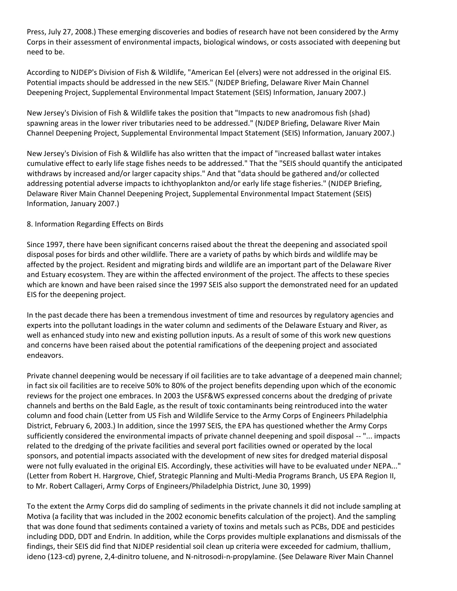Press, July 27, 2008.) These emerging discoveries and bodies of research have not been considered by the Army Corps in their assessment of environmental impacts, biological windows, or costs associated with deepening but need to be.

According to NJDEP's Division of Fish & Wildlife, "American Eel (elvers) were not addressed in the original EIS. Potential impacts should be addressed in the new SEIS." (NJDEP Briefing, Delaware River Main Channel Deepening Project, Supplemental Environmental Impact Statement (SEIS) Information, January 2007.)

New Jersey's Division of Fish & Wildlife takes the position that "Impacts to new anadromous fish (shad) spawning areas in the lower river tributaries need to be addressed." (NJDEP Briefing, Delaware River Main Channel Deepening Project, Supplemental Environmental Impact Statement (SEIS) Information, January 2007.)

New Jersey's Division of Fish & Wildlife has also written that the impact of "increased ballast water intakes cumulative effect to early life stage fishes needs to be addressed." That the "SEIS should quantify the anticipated withdraws by increased and/or larger capacity ships." And that "data should be gathered and/or collected addressing potential adverse impacts to ichthyoplankton and/or early life stage fisheries." (NJDEP Briefing, Delaware River Main Channel Deepening Project, Supplemental Environmental Impact Statement (SEIS) Information, January 2007.)

### 8. Information Regarding Effects on Birds

Since 1997, there have been significant concerns raised about the threat the deepening and associated spoil disposal poses for birds and other wildlife. There are a variety of paths by which birds and wildlife may be affected by the project. Resident and migrating birds and wildlife are an important part of the Delaware River and Estuary ecosystem. They are within the affected environment of the project. The affects to these species which are known and have been raised since the 1997 SEIS also support the demonstrated need for an updated EIS for the deepening project.

In the past decade there has been a tremendous investment of time and resources by regulatory agencies and experts into the pollutant loadings in the water column and sediments of the Delaware Estuary and River, as well as enhanced study into new and existing pollution inputs. As a result of some of this work new questions and concerns have been raised about the potential ramifications of the deepening project and associated endeavors.

Private channel deepening would be necessary if oil facilities are to take advantage of a deepened main channel; in fact six oil facilities are to receive 50% to 80% of the project benefits depending upon which of the economic reviews for the project one embraces. In 2003 the USF&WS expressed concerns about the dredging of private channels and berths on the Bald Eagle, as the result of toxic contaminants being reintroduced into the water column and food chain (Letter from US Fish and Wildlife Service to the Army Corps of Engineers Philadelphia District, February 6, 2003.) In addition, since the 1997 SEIS, the EPA has questioned whether the Army Corps sufficiently considered the environmental impacts of private channel deepening and spoil disposal -- "... impacts related to the dredging of the private facilities and several port facilities owned or operated by the local sponsors, and potential impacts associated with the development of new sites for dredged material disposal were not fully evaluated in the original EIS. Accordingly, these activities will have to be evaluated under NEPA..." (Letter from Robert H. Hargrove, Chief, Strategic Planning and Multi-Media Programs Branch, US EPA Region II, to Mr. Robert Callageri, Army Corps of Engineers/Philadelphia District, June 30, 1999)

To the extent the Army Corps did do sampling of sediments in the private channels it did not include sampling at Motiva (a facility that was included in the 2002 economic benefits calculation of the project). And the sampling that was done found that sediments contained a variety of toxins and metals such as PCBs, DDE and pesticides including DDD, DDT and Endrin. In addition, while the Corps provides multiple explanations and dismissals of the findings, their SEIS did find that NJDEP residential soil clean up criteria were exceeded for cadmium, thallium, ideno (123-cd) pyrene, 2,4-dinitro toluene, and N-nitrosodi-n-propylamine. (See Delaware River Main Channel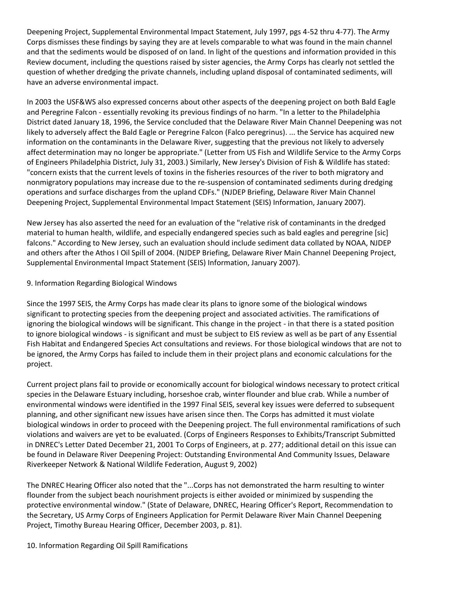Deepening Project, Supplemental Environmental Impact Statement, July 1997, pgs 4-52 thru 4-77). The Army Corps dismisses these findings by saying they are at levels comparable to what was found in the main channel and that the sediments would be disposed of on land. In light of the questions and information provided in this Review document, including the questions raised by sister agencies, the Army Corps has clearly not settled the question of whether dredging the private channels, including upland disposal of contaminated sediments, will have an adverse environmental impact.

In 2003 the USF&WS also expressed concerns about other aspects of the deepening project on both Bald Eagle and Peregrine Falcon - essentially revoking its previous findings of no harm. "In a letter to the Philadelphia District dated January 18, 1996, the Service concluded that the Delaware River Main Channel Deepening was not likely to adversely affect the Bald Eagle or Peregrine Falcon (Falco peregrinus). ... the Service has acquired new information on the contaminants in the Delaware River, suggesting that the previous not likely to adversely affect determination may no longer be appropriate." (Letter from US Fish and Wildlife Service to the Army Corps of Engineers Philadelphia District, July 31, 2003.) Similarly, New Jersey's Division of Fish & Wildlife has stated: "concern exists that the current levels of toxins in the fisheries resources of the river to both migratory and nonmigratory populations may increase due to the re-suspension of contaminated sediments during dredging operations and surface discharges from the upland CDFs." (NJDEP Briefing, Delaware River Main Channel Deepening Project, Supplemental Environmental Impact Statement (SEIS) Information, January 2007).

New Jersey has also asserted the need for an evaluation of the "relative risk of contaminants in the dredged material to human health, wildlife, and especially endangered species such as bald eagles and peregrine [sic] falcons." According to New Jersey, such an evaluation should include sediment data collated by NOAA, NJDEP and others after the Athos I Oil Spill of 2004. (NJDEP Briefing, Delaware River Main Channel Deepening Project, Supplemental Environmental Impact Statement (SEIS) Information, January 2007).

### 9. Information Regarding Biological Windows

Since the 1997 SEIS, the Army Corps has made clear its plans to ignore some of the biological windows significant to protecting species from the deepening project and associated activities. The ramifications of ignoring the biological windows will be significant. This change in the project - in that there is a stated position to ignore biological windows - is significant and must be subject to EIS review as well as be part of any Essential Fish Habitat and Endangered Species Act consultations and reviews. For those biological windows that are not to be ignored, the Army Corps has failed to include them in their project plans and economic calculations for the project.

Current project plans fail to provide or economically account for biological windows necessary to protect critical species in the Delaware Estuary including, horseshoe crab, winter flounder and blue crab. While a number of environmental windows were identified in the 1997 Final SEIS, several key issues were deferred to subsequent planning, and other significant new issues have arisen since then. The Corps has admitted it must violate biological windows in order to proceed with the Deepening project. The full environmental ramifications of such violations and waivers are yet to be evaluated. (Corps of Engineers Responses to Exhibits/Transcript Submitted in DNREC's Letter Dated December 21, 2001 To Corps of Engineers, at p. 277; additional detail on this issue can be found in Delaware River Deepening Project: Outstanding Environmental And Community Issues, Delaware Riverkeeper Network & National Wildlife Federation, August 9, 2002)

The DNREC Hearing Officer also noted that the "...Corps has not demonstrated the harm resulting to winter flounder from the subject beach nourishment projects is either avoided or minimized by suspending the protective environmental window." (State of Delaware, DNREC, Hearing Officer's Report, Recommendation to the Secretary, US Army Corps of Engineers Application for Permit Delaware River Main Channel Deepening Project, Timothy Bureau Hearing Officer, December 2003, p. 81).

10. Information Regarding Oil Spill Ramifications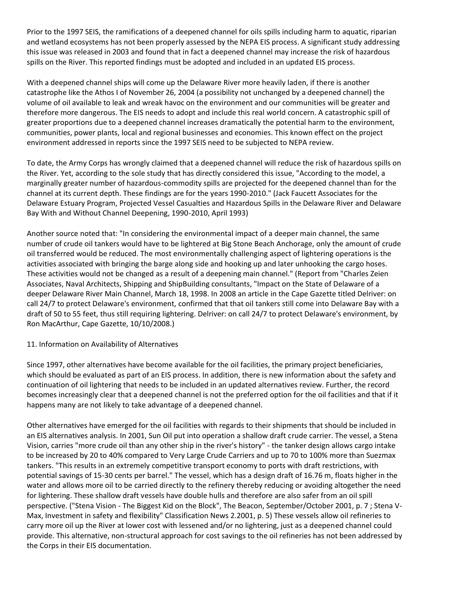Prior to the 1997 SEIS, the ramifications of a deepened channel for oils spills including harm to aquatic, riparian and wetland ecosystems has not been properly assessed by the NEPA EIS process. A significant study addressing this issue was released in 2003 and found that in fact a deepened channel may increase the risk of hazardous spills on the River. This reported findings must be adopted and included in an updated EIS process.

With a deepened channel ships will come up the Delaware River more heavily laden, if there is another catastrophe like the Athos I of November 26, 2004 (a possibility not unchanged by a deepened channel) the volume of oil available to leak and wreak havoc on the environment and our communities will be greater and therefore more dangerous. The EIS needs to adopt and include this real world concern. A catastrophic spill of greater proportions due to a deepened channel increases dramatically the potential harm to the environment, communities, power plants, local and regional businesses and economies. This known effect on the project environment addressed in reports since the 1997 SEIS need to be subjected to NEPA review.

To date, the Army Corps has wrongly claimed that a deepened channel will reduce the risk of hazardous spills on the River. Yet, according to the sole study that has directly considered this issue, "According to the model, a marginally greater number of hazardous-commodity spills are projected for the deepened channel than for the channel at its current depth. These findings are for the years 1990-2010." (Jack Faucett Associates for the Delaware Estuary Program, Projected Vessel Casualties and Hazardous Spills in the Delaware River and Delaware Bay With and Without Channel Deepening, 1990-2010, April 1993)

Another source noted that: "In considering the environmental impact of a deeper main channel, the same number of crude oil tankers would have to be lightered at Big Stone Beach Anchorage, only the amount of crude oil transferred would be reduced. The most environmentally challenging aspect of lightering operations is the activities associated with bringing the barge along side and hooking up and later unhooking the cargo hoses. These activities would not be changed as a result of a deepening main channel." (Report from "Charles Zeien Associates, Naval Architects, Shipping and ShipBuilding consultants, "Impact on the State of Delaware of a deeper Delaware River Main Channel, March 18, 1998. In 2008 an article in the Cape Gazette titled Delriver: on call 24/7 to protect Delaware's environment, confirmed that that oil tankers still come into Delaware Bay with a draft of 50 to 55 feet, thus still requiring lightering. Delriver: on call 24/7 to protect Delaware's environment, by Ron MacArthur, Cape Gazette, 10/10/2008.)

#### 11. Information on Availability of Alternatives

Since 1997, other alternatives have become available for the oil facilities, the primary project beneficiaries, which should be evaluated as part of an EIS process. In addition, there is new information about the safety and continuation of oil lightering that needs to be included in an updated alternatives review. Further, the record becomes increasingly clear that a deepened channel is not the preferred option for the oil facilities and that if it happens many are not likely to take advantage of a deepened channel.

Other alternatives have emerged for the oil facilities with regards to their shipments that should be included in an EIS alternatives analysis. In 2001, Sun Oil put into operation a shallow draft crude carrier. The vessel, a Stena Vision, carries "more crude oil than any other ship in the river's history" - the tanker design allows cargo intake to be increased by 20 to 40% compared to Very Large Crude Carriers and up to 70 to 100% more than Suezmax tankers. "This results in an extremely competitive transport economy to ports with draft restrictions, with potential savings of 15-30 cents per barrel." The vessel, which has a design draft of 16.76 m, floats higher in the water and allows more oil to be carried directly to the refinery thereby reducing or avoiding altogether the need for lightering. These shallow draft vessels have double hulls and therefore are also safer from an oil spill perspective. ("Stena Vision - The Biggest Kid on the Block", The Beacon, September/October 2001, p. 7 ; Stena V-Max, Investment in safety and flexibility" Classification News 2.2001, p. 5) These vessels allow oil refineries to carry more oil up the River at lower cost with lessened and/or no lightering, just as a deepened channel could provide. This alternative, non-structural approach for cost savings to the oil refineries has not been addressed by the Corps in their EIS documentation.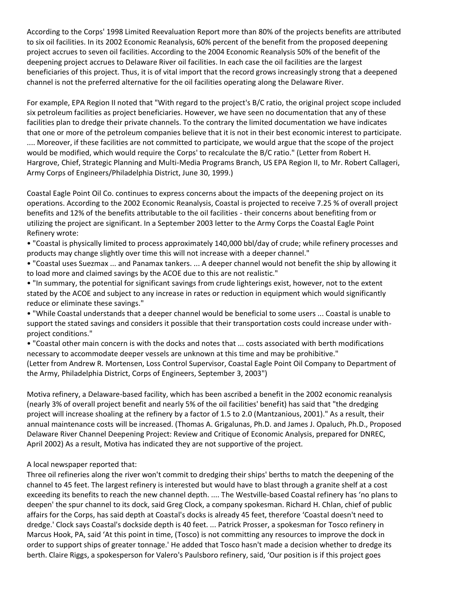According to the Corps' 1998 Limited Reevaluation Report more than 80% of the projects benefits are attributed to six oil facilities. In its 2002 Economic Reanalysis, 60% percent of the benefit from the proposed deepening project accrues to seven oil facilities. According to the 2004 Economic Reanalysis 50% of the benefit of the deepening project accrues to Delaware River oil facilities. In each case the oil facilities are the largest beneficiaries of this project. Thus, it is of vital import that the record grows increasingly strong that a deepened channel is not the preferred alternative for the oil facilities operating along the Delaware River.

For example, EPA Region II noted that "With regard to the project's B/C ratio, the original project scope included six petroleum facilities as project beneficiaries. However, we have seen no documentation that any of these facilities plan to dredge their private channels. To the contrary the limited documentation we have indicates that one or more of the petroleum companies believe that it is not in their best economic interest to participate. .... Moreover, if these facilities are not committed to participate, we would argue that the scope of the project would be modified, which would require the Corps' to recalculate the B/C ratio." (Letter from Robert H. Hargrove, Chief, Strategic Planning and Multi-Media Programs Branch, US EPA Region II, to Mr. Robert Callageri, Army Corps of Engineers/Philadelphia District, June 30, 1999.)

Coastal Eagle Point Oil Co. continues to express concerns about the impacts of the deepening project on its operations. According to the 2002 Economic Reanalysis, Coastal is projected to receive 7.25 % of overall project benefits and 12% of the benefits attributable to the oil facilities - their concerns about benefiting from or utilizing the project are significant. In a September 2003 letter to the Army Corps the Coastal Eagle Point Refinery wrote:

• "Coastal is physically limited to process approximately 140,000 bbl/day of crude; while refinery processes and products may change slightly over time this will not increase with a deeper channel."

• "Coastal uses Suezmax ... and Panamax tankers. ... A deeper channel would not benefit the ship by allowing it to load more and claimed savings by the ACOE due to this are not realistic."

• "In summary, the potential for significant savings from crude lighterings exist, however, not to the extent stated by the ACOE and subject to any increase in rates or reduction in equipment which would significantly reduce or eliminate these savings."

• "While Coastal understands that a deeper channel would be beneficial to some users ... Coastal is unable to support the stated savings and considers it possible that their transportation costs could increase under withproject conditions."

• "Coastal other main concern is with the docks and notes that ... costs associated with berth modifications necessary to accommodate deeper vessels are unknown at this time and may be prohibitive." (Letter from Andrew R. Mortensen, Loss Control Supervisor, Coastal Eagle Point Oil Company to Department of the Army, Philadelphia District, Corps of Engineers, September 3, 2003")

Motiva refinery, a Delaware-based facility, which has been ascribed a benefit in the 2002 economic reanalysis (nearly 3% of overall project benefit and nearly 5% of the oil facilities' benefit) has said that "the dredging project will increase shoaling at the refinery by a factor of 1.5 to 2.0 (Mantzanious, 2001)." As a result, their annual maintenance costs will be increased. (Thomas A. Grigalunas, Ph.D. and James J. Opaluch, Ph.D., Proposed Delaware River Channel Deepening Project: Review and Critique of Economic Analysis, prepared for DNREC, April 2002) As a result, Motiva has indicated they are not supportive of the project.

#### A local newspaper reported that:

Three oil refineries along the river won't commit to dredging their ships' berths to match the deepening of the channel to 45 feet. The largest refinery is interested but would have to blast through a granite shelf at a cost exceeding its benefits to reach the new channel depth. .... The Westville-based Coastal refinery has 'no plans to deepen' the spur channel to its dock, said Greg Clock, a company spokesman. Richard H. Chlan, chief of public affairs for the Corps, has said depth at Coastal's docks is already 45 feet, therefore 'Coastal doesn't need to dredge.' Clock says Coastal's dockside depth is 40 feet. ... Patrick Prosser, a spokesman for Tosco refinery in Marcus Hook, PA, said 'At this point in time, (Tosco) is not committing any resources to improve the dock in order to support ships of greater tonnage.' He added that Tosco hasn't made a decision whether to dredge its berth. Claire Riggs, a spokesperson for Valero's Paulsboro refinery, said, 'Our position is if this project goes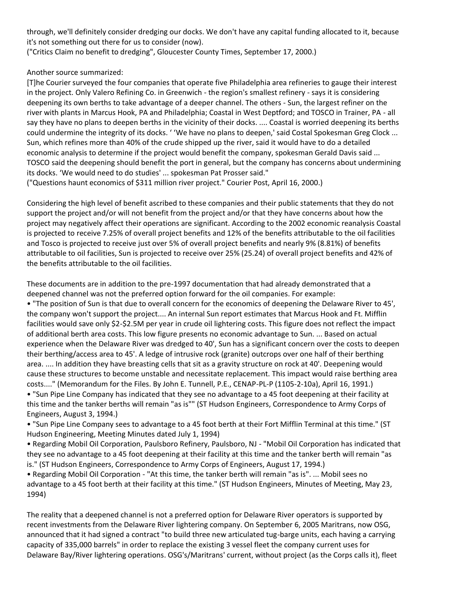through, we'll definitely consider dredging our docks. We don't have any capital funding allocated to it, because it's not something out there for us to consider (now).

("Critics Claim no benefit to dredging", Gloucester County Times, September 17, 2000.)

## Another source summarized:

[T]he Courier surveyed the four companies that operate five Philadelphia area refineries to gauge their interest in the project. Only Valero Refining Co. in Greenwich - the region's smallest refinery - says it is considering deepening its own berths to take advantage of a deeper channel. The others - Sun, the largest refiner on the river with plants in Marcus Hook, PA and Philadelphia; Coastal in West Deptford; and TOSCO in Trainer, PA - all say they have no plans to deepen berths in the vicinity of their docks. .... Coastal is worried deepening its berths could undermine the integrity of its docks. ' 'We have no plans to deepen,' said Costal Spokesman Greg Clock ... Sun, which refines more than 40% of the crude shipped up the river, said it would have to do a detailed economic analysis to determine if the project would benefit the company, spokesman Gerald Davis said ... TOSCO said the deepening should benefit the port in general, but the company has concerns about undermining its docks. 'We would need to do studies' ... spokesman Pat Prosser said." ("Questions haunt economics of \$311 million river project." Courier Post, April 16, 2000.)

Considering the high level of benefit ascribed to these companies and their public statements that they do not support the project and/or will not benefit from the project and/or that they have concerns about how the project may negatively affect their operations are significant. According to the 2002 economic reanalysis Coastal is projected to receive 7.25% of overall project benefits and 12% of the benefits attributable to the oil facilities and Tosco is projected to receive just over 5% of overall project benefits and nearly 9% (8.81%) of benefits attributable to oil facilities, Sun is projected to receive over 25% (25.24) of overall project benefits and 42% of the benefits attributable to the oil facilities.

These documents are in addition to the pre-1997 documentation that had already demonstrated that a deepened channel was not the preferred option forward for the oil companies. For example: • "The position of Sun is that due to overall concern for the economics of deepening the Delaware River to 45', the company won't support the project.... An internal Sun report estimates that Marcus Hook and Ft. Mifflin facilities would save only \$2-\$2.5M per year in crude oil lightering costs. This figure does not reflect the impact of additional berth area costs. This low figure presents no economic advantage to Sun. ... Based on actual experience when the Delaware River was dredged to 40', Sun has a significant concern over the costs to deepen their berthing/access area to 45'. A ledge of intrusive rock (granite) outcrops over one half of their berthing area. .... In addition they have breasting cells that sit as a gravity structure on rock at 40'. Deepening would cause these structures to become unstable and necessitate replacement. This impact would raise berthing area costs...." (Memorandum for the Files. By John E. Tunnell, P.E., CENAP-PL-P (1105-2-10a), April 16, 1991.) • "Sun Pipe Line Company has indicated that they see no advantage to a 45 foot deepening at their facility at this time and the tanker berths will remain "as is"" (ST Hudson Engineers, Correspondence to Army Corps of Engineers, August 3, 1994.)

• "Sun Pipe Line Company sees to advantage to a 45 foot berth at their Fort Mifflin Terminal at this time." (ST Hudson Engineering, Meeting Minutes dated July 1, 1994)

• Regarding Mobil Oil Corporation, Paulsboro Refinery, Paulsboro, NJ - "Mobil Oil Corporation has indicated that they see no advantage to a 45 foot deepening at their facility at this time and the tanker berth will remain "as is." (ST Hudson Engineers, Correspondence to Army Corps of Engineers, August 17, 1994.)

• Regarding Mobil Oil Corporation - "At this time, the tanker berth will remain "as is". ... Mobil sees no advantage to a 45 foot berth at their facility at this time." (ST Hudson Engineers, Minutes of Meeting, May 23, 1994)

The reality that a deepened channel is not a preferred option for Delaware River operators is supported by recent investments from the Delaware River lightering company. On September 6, 2005 Maritrans, now OSG, announced that it had signed a contract "to build three new articulated tug-barge units, each having a carrying capacity of 335,000 barrels" in order to replace the existing 3 vessel fleet the company current uses for Delaware Bay/River lightering operations. OSG's/Maritrans' current, without project (as the Corps calls it), fleet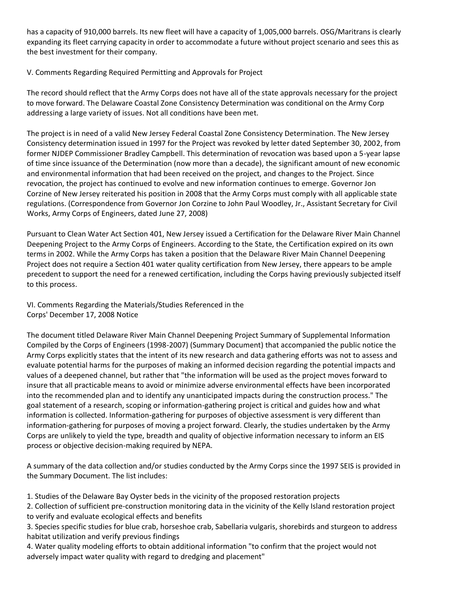has a capacity of 910,000 barrels. Its new fleet will have a capacity of 1,005,000 barrels. OSG/Maritrans is clearly expanding its fleet carrying capacity in order to accommodate a future without project scenario and sees this as the best investment for their company.

## V. Comments Regarding Required Permitting and Approvals for Project

The record should reflect that the Army Corps does not have all of the state approvals necessary for the project to move forward. The Delaware Coastal Zone Consistency Determination was conditional on the Army Corp addressing a large variety of issues. Not all conditions have been met.

The project is in need of a valid New Jersey Federal Coastal Zone Consistency Determination. The New Jersey Consistency determination issued in 1997 for the Project was revoked by letter dated September 30, 2002, from former NJDEP Commissioner Bradley Campbell. This determination of revocation was based upon a 5-year lapse of time since issuance of the Determination (now more than a decade), the significant amount of new economic and environmental information that had been received on the project, and changes to the Project. Since revocation, the project has continued to evolve and new information continues to emerge. Governor Jon Corzine of New Jersey reiterated his position in 2008 that the Army Corps must comply with all applicable state regulations. (Correspondence from Governor Jon Corzine to John Paul Woodley, Jr., Assistant Secretary for Civil Works, Army Corps of Engineers, dated June 27, 2008)

Pursuant to Clean Water Act Section 401, New Jersey issued a Certification for the Delaware River Main Channel Deepening Project to the Army Corps of Engineers. According to the State, the Certification expired on its own terms in 2002. While the Army Corps has taken a position that the Delaware River Main Channel Deepening Project does not require a Section 401 water quality certification from New Jersey, there appears to be ample precedent to support the need for a renewed certification, including the Corps having previously subjected itself to this process.

VI. Comments Regarding the Materials/Studies Referenced in the Corps' December 17, 2008 Notice

The document titled Delaware River Main Channel Deepening Project Summary of Supplemental Information Compiled by the Corps of Engineers (1998-2007) (Summary Document) that accompanied the public notice the Army Corps explicitly states that the intent of its new research and data gathering efforts was not to assess and evaluate potential harms for the purposes of making an informed decision regarding the potential impacts and values of a deepened channel, but rather that "the information will be used as the project moves forward to insure that all practicable means to avoid or minimize adverse environmental effects have been incorporated into the recommended plan and to identify any unanticipated impacts during the construction process." The goal statement of a research, scoping or information-gathering project is critical and guides how and what information is collected. Information-gathering for purposes of objective assessment is very different than information-gathering for purposes of moving a project forward. Clearly, the studies undertaken by the Army Corps are unlikely to yield the type, breadth and quality of objective information necessary to inform an EIS process or objective decision-making required by NEPA.

A summary of the data collection and/or studies conducted by the Army Corps since the 1997 SEIS is provided in the Summary Document. The list includes:

1. Studies of the Delaware Bay Oyster beds in the vicinity of the proposed restoration projects

2. Collection of sufficient pre-construction monitoring data in the vicinity of the Kelly Island restoration project to verify and evaluate ecological effects and benefits

3. Species specific studies for blue crab, horseshoe crab, Sabellaria vulgaris, shorebirds and sturgeon to address habitat utilization and verify previous findings

4. Water quality modeling efforts to obtain additional information "to confirm that the project would not adversely impact water quality with regard to dredging and placement"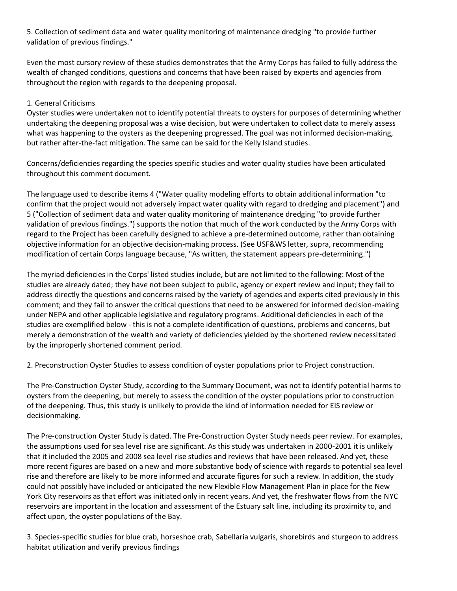5. Collection of sediment data and water quality monitoring of maintenance dredging "to provide further validation of previous findings."

Even the most cursory review of these studies demonstrates that the Army Corps has failed to fully address the wealth of changed conditions, questions and concerns that have been raised by experts and agencies from throughout the region with regards to the deepening proposal.

## 1. General Criticisms

Oyster studies were undertaken not to identify potential threats to oysters for purposes of determining whether undertaking the deepening proposal was a wise decision, but were undertaken to collect data to merely assess what was happening to the oysters as the deepening progressed. The goal was not informed decision-making, but rather after-the-fact mitigation. The same can be said for the Kelly Island studies.

Concerns/deficiencies regarding the species specific studies and water quality studies have been articulated throughout this comment document.

The language used to describe items 4 ("Water quality modeling efforts to obtain additional information "to confirm that the project would not adversely impact water quality with regard to dredging and placement") and 5 ("Collection of sediment data and water quality monitoring of maintenance dredging "to provide further validation of previous findings.") supports the notion that much of the work conducted by the Army Corps with regard to the Project has been carefully designed to achieve a pre-determined outcome, rather than obtaining objective information for an objective decision-making process. (See USF&WS letter, supra, recommending modification of certain Corps language because, "As written, the statement appears pre-determining.")

The myriad deficiencies in the Corps' listed studies include, but are not limited to the following: Most of the studies are already dated; they have not been subject to public, agency or expert review and input; they fail to address directly the questions and concerns raised by the variety of agencies and experts cited previously in this comment; and they fail to answer the critical questions that need to be answered for informed decision-making under NEPA and other applicable legislative and regulatory programs. Additional deficiencies in each of the studies are exemplified below - this is not a complete identification of questions, problems and concerns, but merely a demonstration of the wealth and variety of deficiencies yielded by the shortened review necessitated by the improperly shortened comment period.

2. Preconstruction Oyster Studies to assess condition of oyster populations prior to Project construction.

The Pre-Construction Oyster Study, according to the Summary Document, was not to identify potential harms to oysters from the deepening, but merely to assess the condition of the oyster populations prior to construction of the deepening. Thus, this study is unlikely to provide the kind of information needed for EIS review or decisionmaking.

The Pre-construction Oyster Study is dated. The Pre-Construction Oyster Study needs peer review. For examples, the assumptions used for sea level rise are significant. As this study was undertaken in 2000-2001 it is unlikely that it included the 2005 and 2008 sea level rise studies and reviews that have been released. And yet, these more recent figures are based on a new and more substantive body of science with regards to potential sea level rise and therefore are likely to be more informed and accurate figures for such a review. In addition, the study could not possibly have included or anticipated the new Flexible Flow Management Plan in place for the New York City reservoirs as that effort was initiated only in recent years. And yet, the freshwater flows from the NYC reservoirs are important in the location and assessment of the Estuary salt line, including its proximity to, and affect upon, the oyster populations of the Bay.

3. Species-specific studies for blue crab, horseshoe crab, Sabellaria vulgaris, shorebirds and sturgeon to address habitat utilization and verify previous findings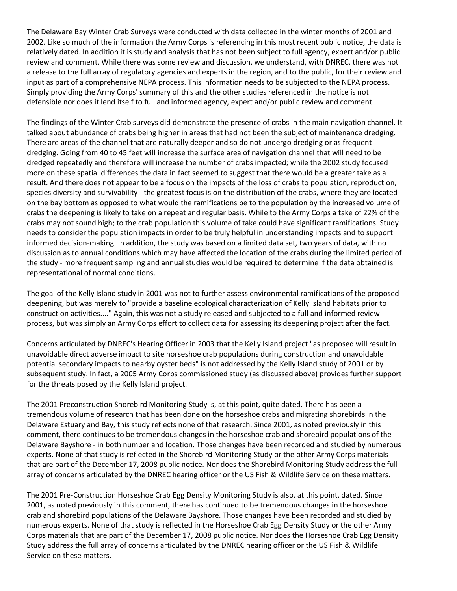The Delaware Bay Winter Crab Surveys were conducted with data collected in the winter months of 2001 and 2002. Like so much of the information the Army Corps is referencing in this most recent public notice, the data is relatively dated. In addition it is study and analysis that has not been subject to full agency, expert and/or public review and comment. While there was some review and discussion, we understand, with DNREC, there was not a release to the full array of regulatory agencies and experts in the region, and to the public, for their review and input as part of a comprehensive NEPA process. This information needs to be subjected to the NEPA process. Simply providing the Army Corps' summary of this and the other studies referenced in the notice is not defensible nor does it lend itself to full and informed agency, expert and/or public review and comment.

The findings of the Winter Crab surveys did demonstrate the presence of crabs in the main navigation channel. It talked about abundance of crabs being higher in areas that had not been the subject of maintenance dredging. There are areas of the channel that are naturally deeper and so do not undergo dredging or as frequent dredging. Going from 40 to 45 feet will increase the surface area of navigation channel that will need to be dredged repeatedly and therefore will increase the number of crabs impacted; while the 2002 study focused more on these spatial differences the data in fact seemed to suggest that there would be a greater take as a result. And there does not appear to be a focus on the impacts of the loss of crabs to population, reproduction, species diversity and survivability - the greatest focus is on the distribution of the crabs, where they are located on the bay bottom as opposed to what would the ramifications be to the population by the increased volume of crabs the deepening is likely to take on a repeat and regular basis. While to the Army Corps a take of 22% of the crabs may not sound high; to the crab population this volume of take could have significant ramifications. Study needs to consider the population impacts in order to be truly helpful in understanding impacts and to support informed decision-making. In addition, the study was based on a limited data set, two years of data, with no discussion as to annual conditions which may have affected the location of the crabs during the limited period of the study - more frequent sampling and annual studies would be required to determine if the data obtained is representational of normal conditions.

The goal of the Kelly Island study in 2001 was not to further assess environmental ramifications of the proposed deepening, but was merely to "provide a baseline ecological characterization of Kelly Island habitats prior to construction activities...." Again, this was not a study released and subjected to a full and informed review process, but was simply an Army Corps effort to collect data for assessing its deepening project after the fact.

Concerns articulated by DNREC's Hearing Officer in 2003 that the Kelly Island project "as proposed will result in unavoidable direct adverse impact to site horseshoe crab populations during construction and unavoidable potential secondary impacts to nearby oyster beds" is not addressed by the Kelly Island study of 2001 or by subsequent study. In fact, a 2005 Army Corps commissioned study (as discussed above) provides further support for the threats posed by the Kelly Island project.

The 2001 Preconstruction Shorebird Monitoring Study is, at this point, quite dated. There has been a tremendous volume of research that has been done on the horseshoe crabs and migrating shorebirds in the Delaware Estuary and Bay, this study reflects none of that research. Since 2001, as noted previously in this comment, there continues to be tremendous changes in the horseshoe crab and shorebird populations of the Delaware Bayshore - in both number and location. Those changes have been recorded and studied by numerous experts. None of that study is reflected in the Shorebird Monitoring Study or the other Army Corps materials that are part of the December 17, 2008 public notice. Nor does the Shorebird Monitoring Study address the full array of concerns articulated by the DNREC hearing officer or the US Fish & Wildlife Service on these matters.

The 2001 Pre-Construction Horseshoe Crab Egg Density Monitoring Study is also, at this point, dated. Since 2001, as noted previously in this comment, there has continued to be tremendous changes in the horseshoe crab and shorebird populations of the Delaware Bayshore. Those changes have been recorded and studied by numerous experts. None of that study is reflected in the Horseshoe Crab Egg Density Study or the other Army Corps materials that are part of the December 17, 2008 public notice. Nor does the Horseshoe Crab Egg Density Study address the full array of concerns articulated by the DNREC hearing officer or the US Fish & Wildlife Service on these matters.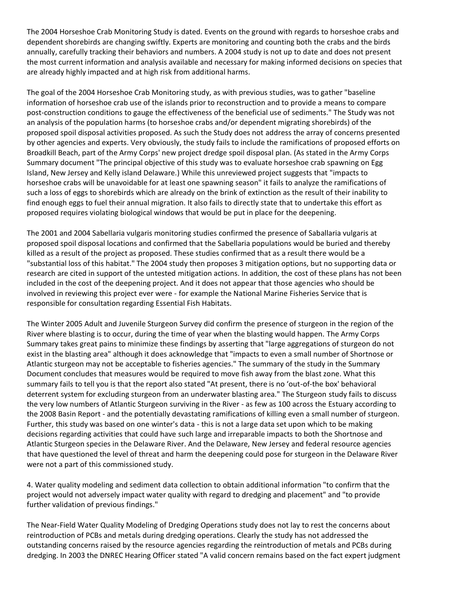The 2004 Horseshoe Crab Monitoring Study is dated. Events on the ground with regards to horseshoe crabs and dependent shorebirds are changing swiftly. Experts are monitoring and counting both the crabs and the birds annually, carefully tracking their behaviors and numbers. A 2004 study is not up to date and does not present the most current information and analysis available and necessary for making informed decisions on species that are already highly impacted and at high risk from additional harms.

The goal of the 2004 Horseshoe Crab Monitoring study, as with previous studies, was to gather "baseline information of horseshoe crab use of the islands prior to reconstruction and to provide a means to compare post-construction conditions to gauge the effectiveness of the beneficial use of sediments." The Study was not an analysis of the population harms (to horseshoe crabs and/or dependent migrating shorebirds) of the proposed spoil disposal activities proposed. As such the Study does not address the array of concerns presented by other agencies and experts. Very obviously, the study fails to include the ramifications of proposed efforts on Broadkill Beach, part of the Army Corps' new project dredge spoil disposal plan. (As stated in the Army Corps Summary document "The principal objective of this study was to evaluate horseshoe crab spawning on Egg Island, New Jersey and Kelly island Delaware.) While this unreviewed project suggests that "impacts to horseshoe crabs will be unavoidable for at least one spawning season" it fails to analyze the ramifications of such a loss of eggs to shorebirds which are already on the brink of extinction as the result of their inability to find enough eggs to fuel their annual migration. It also fails to directly state that to undertake this effort as proposed requires violating biological windows that would be put in place for the deepening.

The 2001 and 2004 Sabellaria vulgaris monitoring studies confirmed the presence of Saballaria vulgaris at proposed spoil disposal locations and confirmed that the Sabellaria populations would be buried and thereby killed as a result of the project as proposed. These studies confirmed that as a result there would be a "substantial loss of this habitat." The 2004 study then proposes 3 mitigation options, but no supporting data or research are cited in support of the untested mitigation actions. In addition, the cost of these plans has not been included in the cost of the deepening project. And it does not appear that those agencies who should be involved in reviewing this project ever were - for example the National Marine Fisheries Service that is responsible for consultation regarding Essential Fish Habitats.

The Winter 2005 Adult and Juvenile Sturgeon Survey did confirm the presence of sturgeon in the region of the River where blasting is to occur, during the time of year when the blasting would happen. The Army Corps Summary takes great pains to minimize these findings by asserting that "large aggregations of sturgeon do not exist in the blasting area" although it does acknowledge that "impacts to even a small number of Shortnose or Atlantic sturgeon may not be acceptable to fisheries agencies." The summary of the study in the Summary Document concludes that measures would be required to move fish away from the blast zone. What this summary fails to tell you is that the report also stated "At present, there is no 'out-of-the box' behavioral deterrent system for excluding sturgeon from an underwater blasting area." The Sturgeon study fails to discuss the very low numbers of Atlantic Sturgeon surviving in the River - as few as 100 across the Estuary according to the 2008 Basin Report - and the potentially devastating ramifications of killing even a small number of sturgeon. Further, this study was based on one winter's data - this is not a large data set upon which to be making decisions regarding activities that could have such large and irreparable impacts to both the Shortnose and Atlantic Sturgeon species in the Delaware River. And the Delaware, New Jersey and federal resource agencies that have questioned the level of threat and harm the deepening could pose for sturgeon in the Delaware River were not a part of this commissioned study.

4. Water quality modeling and sediment data collection to obtain additional information "to confirm that the project would not adversely impact water quality with regard to dredging and placement" and "to provide further validation of previous findings."

The Near-Field Water Quality Modeling of Dredging Operations study does not lay to rest the concerns about reintroduction of PCBs and metals during dredging operations. Clearly the study has not addressed the outstanding concerns raised by the resource agencies regarding the reintroduction of metals and PCBs during dredging. In 2003 the DNREC Hearing Officer stated "A valid concern remains based on the fact expert judgment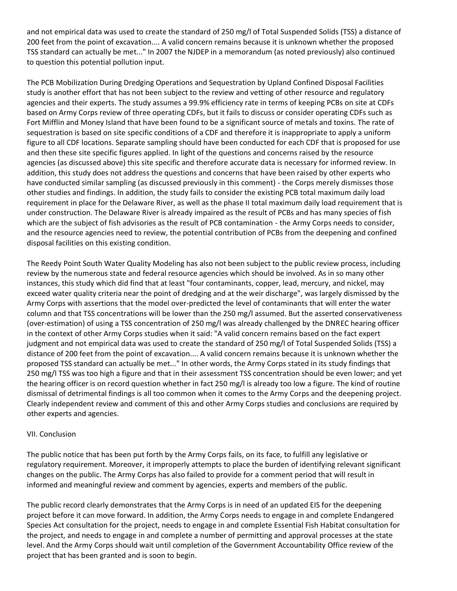and not empirical data was used to create the standard of 250 mg/l of Total Suspended Solids (TSS) a distance of 200 feet from the point of excavation.... A valid concern remains because it is unknown whether the proposed TSS standard can actually be met..." In 2007 the NJDEP in a memorandum (as noted previously) also continued to question this potential pollution input.

The PCB Mobilization During Dredging Operations and Sequestration by Upland Confined Disposal Facilities study is another effort that has not been subject to the review and vetting of other resource and regulatory agencies and their experts. The study assumes a 99.9% efficiency rate in terms of keeping PCBs on site at CDFs based on Army Corps review of three operating CDFs, but it fails to discuss or consider operating CDFs such as Fort Mifflin and Money Island that have been found to be a significant source of metals and toxins. The rate of sequestration is based on site specific conditions of a CDF and therefore it is inappropriate to apply a uniform figure to all CDF locations. Separate sampling should have been conducted for each CDF that is proposed for use and then these site specific figures applied. In light of the questions and concerns raised by the resource agencies (as discussed above) this site specific and therefore accurate data is necessary for informed review. In addition, this study does not address the questions and concerns that have been raised by other experts who have conducted similar sampling (as discussed previously in this comment) - the Corps merely dismisses those other studies and findings. In addition, the study fails to consider the existing PCB total maximum daily load requirement in place for the Delaware River, as well as the phase II total maximum daily load requirement that is under construction. The Delaware River is already impaired as the result of PCBs and has many species of fish which are the subject of fish advisories as the result of PCB contamination - the Army Corps needs to consider, and the resource agencies need to review, the potential contribution of PCBs from the deepening and confined disposal facilities on this existing condition.

The Reedy Point South Water Quality Modeling has also not been subject to the public review process, including review by the numerous state and federal resource agencies which should be involved. As in so many other instances, this study which did find that at least "four contaminants, copper, lead, mercury, and nickel, may exceed water quality criteria near the point of dredging and at the weir discharge", was largely dismissed by the Army Corps with assertions that the model over-predicted the level of contaminants that will enter the water column and that TSS concentrations will be lower than the 250 mg/l assumed. But the asserted conservativeness (over-estimation) of using a TSS concentration of 250 mg/l was already challenged by the DNREC hearing officer in the context of other Army Corps studies when it said: "A valid concern remains based on the fact expert judgment and not empirical data was used to create the standard of 250 mg/l of Total Suspended Solids (TSS) a distance of 200 feet from the point of excavation.... A valid concern remains because it is unknown whether the proposed TSS standard can actually be met..." In other words, the Army Corps stated in its study findings that 250 mg/l TSS was too high a figure and that in their assessment TSS concentration should be even lower; and yet the hearing officer is on record question whether in fact 250 mg/l is already too low a figure. The kind of routine dismissal of detrimental findings is all too common when it comes to the Army Corps and the deepening project. Clearly independent review and comment of this and other Army Corps studies and conclusions are required by other experts and agencies.

#### VII. Conclusion

The public notice that has been put forth by the Army Corps fails, on its face, to fulfill any legislative or regulatory requirement. Moreover, it improperly attempts to place the burden of identifying relevant significant changes on the public. The Army Corps has also failed to provide for a comment period that will result in informed and meaningful review and comment by agencies, experts and members of the public.

The public record clearly demonstrates that the Army Corps is in need of an updated EIS for the deepening project before it can move forward. In addition, the Army Corps needs to engage in and complete Endangered Species Act consultation for the project, needs to engage in and complete Essential Fish Habitat consultation for the project, and needs to engage in and complete a number of permitting and approval processes at the state level. And the Army Corps should wait until completion of the Government Accountability Office review of the project that has been granted and is soon to begin.